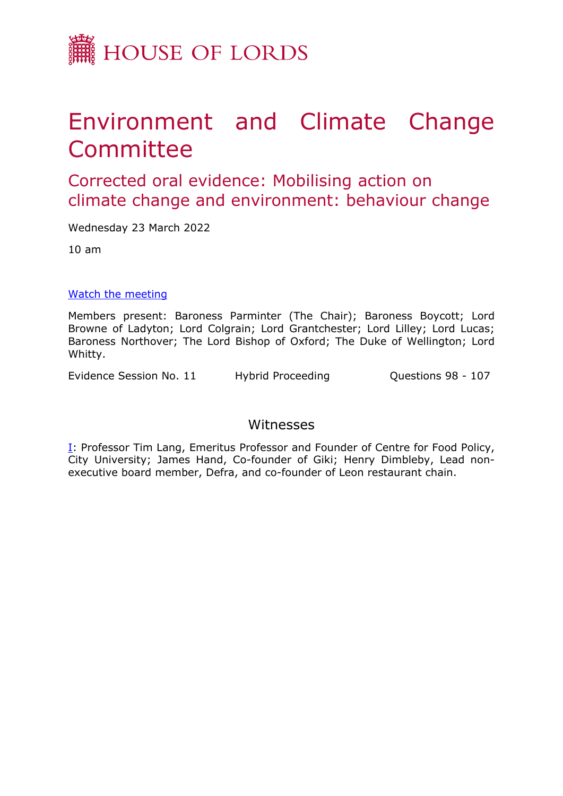

# Environment and Climate Change Committee

## Corrected oral evidence: Mobilising action on climate change and environment: behaviour change

Wednesday 23 March 2022

10 am

#### [Watch](https://parliamentlive.tv/event/index/2d491ded-2a99-42a0-92c4-2e31157f797d) [the](https://parliamentlive.tv/event/index/2d491ded-2a99-42a0-92c4-2e31157f797d) [meeting](https://parliamentlive.tv/event/index/2d491ded-2a99-42a0-92c4-2e31157f797d)

Members present: Baroness Parminter (The Chair); Baroness Boycott; Lord Browne of Ladyton; Lord Colgrain; Lord Grantchester; Lord Lilley; Lord Lucas; Baroness Northover; The Lord Bishop of Oxford; The Duke of Wellington; Lord Whitty.

Evidence Session No. 11 Hybrid Proceeding Cuestions 98 - 107

#### Witnesses

[I:](#page-1-0) Professor Tim Lang, Emeritus Professor and Founder of Centre for Food Policy, City University; James Hand, Co-founder of Giki; Henry Dimbleby, Lead nonexecutive board member, Defra, and co-founder of Leon restaurant chain.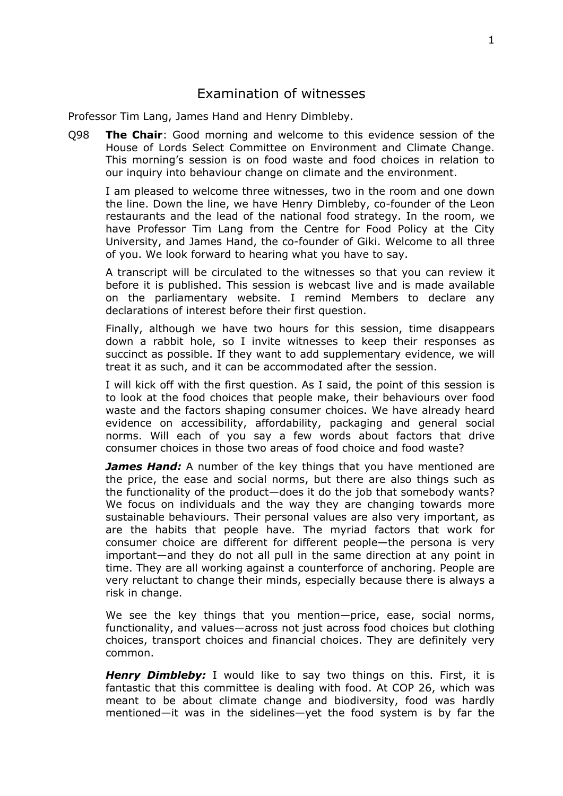### <span id="page-1-0"></span>Examination of witnesses

Professor Tim Lang, James Hand and Henry Dimbleby.

Q98 **The Chair**: Good morning and welcome to this evidence session of the House of Lords Select Committee on Environment and Climate Change. This morning's session is on food waste and food choices in relation to our inquiry into behaviour change on climate and the environment.

I am pleased to welcome three witnesses, two in the room and one down the line. Down the line, we have Henry Dimbleby, co-founder of the Leon restaurants and the lead of the national food strategy. In the room, we have Professor Tim Lang from the Centre for Food Policy at the City University, and James Hand, the co-founder of Giki. Welcome to all three of you. We look forward to hearing what you have to say.

A transcript will be circulated to the witnesses so that you can review it before it is published. This session is webcast live and is made available on the parliamentary website. I remind Members to declare any declarations of interest before their first question.

Finally, although we have two hours for this session, time disappears down a rabbit hole, so I invite witnesses to keep their responses as succinct as possible. If they want to add supplementary evidence, we will treat it as such, and it can be accommodated after the session.

I will kick off with the first question. As I said, the point of this session is to look at the food choices that people make, their behaviours over food waste and the factors shaping consumer choices. We have already heard evidence on accessibility, affordability, packaging and general social norms. Will each of you say a few words about factors that drive consumer choices in those two areas of food choice and food waste?

*James Hand:* A number of the key things that you have mentioned are the price, the ease and social norms, but there are also things such as the functionality of the product—does it do the job that somebody wants? We focus on individuals and the way they are changing towards more sustainable behaviours. Their personal values are also very important, as are the habits that people have. The myriad factors that work for consumer choice are different for different people—the persona is very important—and they do not all pull in the same direction at any point in time. They are all working against a counterforce of anchoring. People are very reluctant to change their minds, especially because there is always a risk in change.

We see the key things that you mention-price, ease, social norms, functionality, and values—across not just across food choices but clothing choices, transport choices and financial choices. They are definitely very common.

*Henry Dimbleby:* I would like to say two things on this. First, it is fantastic that this committee is dealing with food. At COP 26, which was meant to be about climate change and biodiversity, food was hardly mentioned—it was in the sidelines—yet the food system is by far the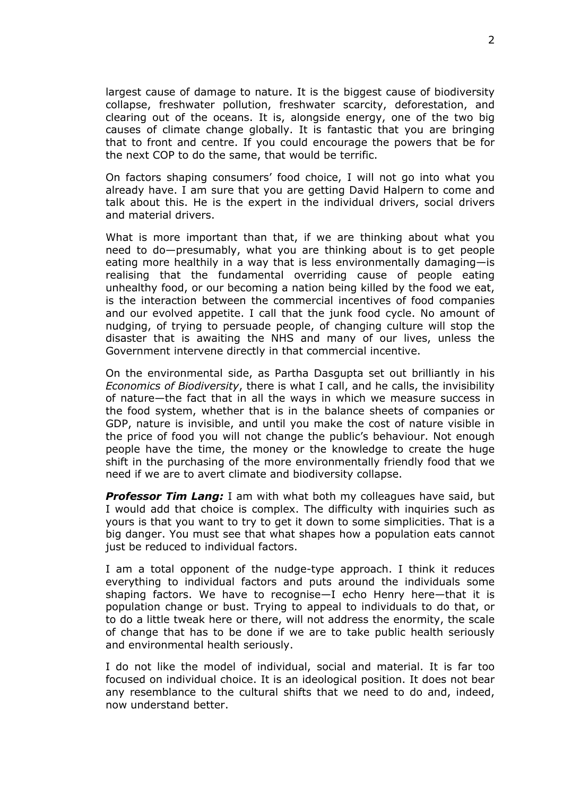largest cause of damage to nature. It is the biggest cause of biodiversity collapse, freshwater pollution, freshwater scarcity, deforestation, and clearing out of the oceans. It is, alongside energy, one of the two big causes of climate change globally. It is fantastic that you are bringing that to front and centre. If you could encourage the powers that be for the next COP to do the same, that would be terrific.

On factors shaping consumers' food choice, I will not go into what you already have. I am sure that you are getting David Halpern to come and talk about this. He is the expert in the individual drivers, social drivers and material drivers.

What is more important than that, if we are thinking about what you need to do—presumably, what you are thinking about is to get people eating more healthily in a way that is less environmentally damaging—is realising that the fundamental overriding cause of people eating unhealthy food, or our becoming a nation being killed by the food we eat, is the interaction between the commercial incentives of food companies and our evolved appetite. I call that the junk food cycle. No amount of nudging, of trying to persuade people, of changing culture will stop the disaster that is awaiting the NHS and many of our lives, unless the Government intervene directly in that commercial incentive.

On the environmental side, as Partha Dasgupta set out brilliantly in his *Economics of Biodiversity*, there is what I call, and he calls, the invisibility of nature—the fact that in all the ways in which we measure success in the food system, whether that is in the balance sheets of companies or GDP, nature is invisible, and until you make the cost of nature visible in the price of food you will not change the public's behaviour. Not enough people have the time, the money or the knowledge to create the huge shift in the purchasing of the more environmentally friendly food that we need if we are to avert climate and biodiversity collapse.

*Professor Tim Lang:* I am with what both my colleagues have said, but I would add that choice is complex. The difficulty with inquiries such as yours is that you want to try to get it down to some simplicities. That is a big danger. You must see that what shapes how a population eats cannot just be reduced to individual factors.

I am a total opponent of the nudge-type approach. I think it reduces everything to individual factors and puts around the individuals some shaping factors. We have to recognise—I echo Henry here—that it is population change or bust. Trying to appeal to individuals to do that, or to do a little tweak here or there, will not address the enormity, the scale of change that has to be done if we are to take public health seriously and environmental health seriously.

I do not like the model of individual, social and material. It is far too focused on individual choice. It is an ideological position. It does not bear any resemblance to the cultural shifts that we need to do and, indeed, now understand better.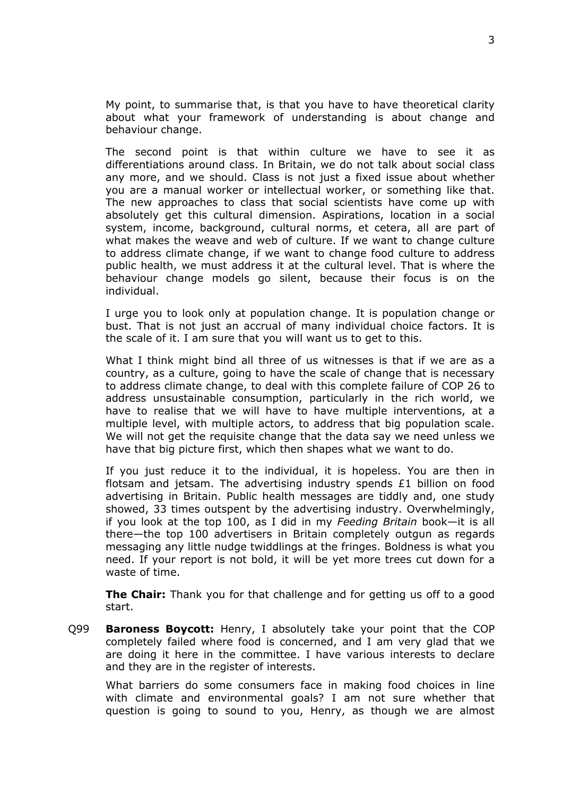My point, to summarise that, is that you have to have theoretical clarity about what your framework of understanding is about change and behaviour change.

The second point is that within culture we have to see it as differentiations around class. In Britain, we do not talk about social class any more, and we should. Class is not just a fixed issue about whether you are a manual worker or intellectual worker, or something like that. The new approaches to class that social scientists have come up with absolutely get this cultural dimension. Aspirations, location in a social system, income, background, cultural norms, et cetera, all are part of what makes the weave and web of culture. If we want to change culture to address climate change, if we want to change food culture to address public health, we must address it at the cultural level. That is where the behaviour change models go silent, because their focus is on the individual.

I urge you to look only at population change. It is population change or bust. That is not just an accrual of many individual choice factors. It is the scale of it. I am sure that you will want us to get to this.

What I think might bind all three of us witnesses is that if we are as a country, as a culture, going to have the scale of change that is necessary to address climate change, to deal with this complete failure of COP 26 to address unsustainable consumption, particularly in the rich world, we have to realise that we will have to have multiple interventions, at a multiple level, with multiple actors, to address that big population scale. We will not get the requisite change that the data say we need unless we have that big picture first, which then shapes what we want to do.

If you just reduce it to the individual, it is hopeless. You are then in flotsam and jetsam. The advertising industry spends £1 billion on food advertising in Britain. Public health messages are tiddly and, one study showed, 33 times outspent by the advertising industry. Overwhelmingly, if you look at the top 100, as I did in my *Feeding Britain* book—it is all there—the top 100 advertisers in Britain completely outgun as regards messaging any little nudge twiddlings at the fringes. Boldness is what you need. If your report is not bold, it will be yet more trees cut down for a waste of time.

**The Chair:** Thank you for that challenge and for getting us off to a good start.

Q99 **Baroness Boycott:** Henry, I absolutely take your point that the COP completely failed where food is concerned, and I am very glad that we are doing it here in the committee. I have various interests to declare and they are in the register of interests.

What barriers do some consumers face in making food choices in line with climate and environmental goals? I am not sure whether that question is going to sound to you, Henry, as though we are almost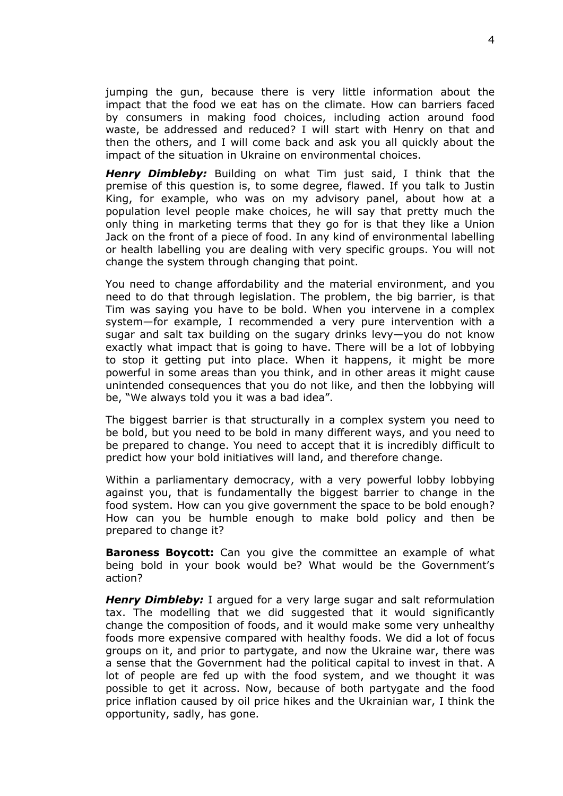jumping the gun, because there is very little information about the impact that the food we eat has on the climate. How can barriers faced by consumers in making food choices, including action around food waste, be addressed and reduced? I will start with Henry on that and then the others, and I will come back and ask you all quickly about the impact of the situation in Ukraine on environmental choices.

*Henry Dimbleby:* Building on what Tim just said, I think that the premise of this question is, to some degree, flawed. If you talk to Justin King, for example, who was on my advisory panel, about how at a population level people make choices, he will say that pretty much the only thing in marketing terms that they go for is that they like a Union Jack on the front of a piece of food. In any kind of environmental labelling or health labelling you are dealing with very specific groups. You will not change the system through changing that point.

You need to change affordability and the material environment, and you need to do that through legislation. The problem, the big barrier, is that Tim was saying you have to be bold. When you intervene in a complex system—for example, I recommended a very pure intervention with a sugar and salt tax building on the sugary drinks levy—you do not know exactly what impact that is going to have. There will be a lot of lobbying to stop it getting put into place. When it happens, it might be more powerful in some areas than you think, and in other areas it might cause unintended consequences that you do not like, and then the lobbying will be, "We always told you it was a bad idea".

The biggest barrier is that structurally in a complex system you need to be bold, but you need to be bold in many different ways, and you need to be prepared to change. You need to accept that it is incredibly difficult to predict how your bold initiatives will land, and therefore change.

Within a parliamentary democracy, with a very powerful lobby lobbying against you, that is fundamentally the biggest barrier to change in the food system. How can you give government the space to be bold enough? How can you be humble enough to make bold policy and then be prepared to change it?

**Baroness Boycott:** Can you give the committee an example of what being bold in your book would be? What would be the Government's action?

*Henry Dimbleby:* I argued for a very large sugar and salt reformulation tax. The modelling that we did suggested that it would significantly change the composition of foods, and it would make some very unhealthy foods more expensive compared with healthy foods. We did a lot of focus groups on it, and prior to partygate, and now the Ukraine war, there was a sense that the Government had the political capital to invest in that. A lot of people are fed up with the food system, and we thought it was possible to get it across. Now, because of both partygate and the food price inflation caused by oil price hikes and the Ukrainian war, I think the opportunity, sadly, has gone.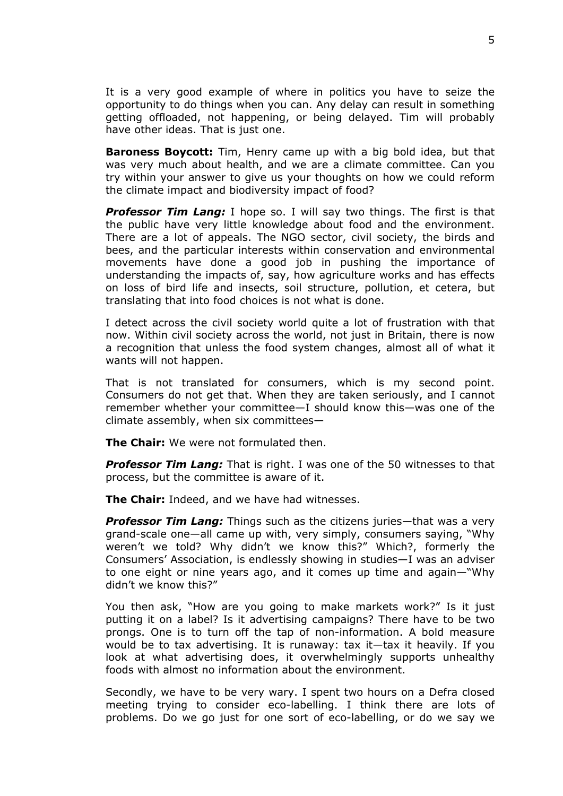It is a very good example of where in politics you have to seize the opportunity to do things when you can. Any delay can result in something getting offloaded, not happening, or being delayed. Tim will probably have other ideas. That is just one.

**Baroness Boycott:** Tim, Henry came up with a big bold idea, but that was very much about health, and we are a climate committee. Can you try within your answer to give us your thoughts on how we could reform the climate impact and biodiversity impact of food?

**Professor Tim Lang:** I hope so. I will say two things. The first is that the public have very little knowledge about food and the environment. There are a lot of appeals. The NGO sector, civil society, the birds and bees, and the particular interests within conservation and environmental movements have done a good job in pushing the importance of understanding the impacts of, say, how agriculture works and has effects on loss of bird life and insects, soil structure, pollution, et cetera, but translating that into food choices is not what is done.

I detect across the civil society world quite a lot of frustration with that now. Within civil society across the world, not just in Britain, there is now a recognition that unless the food system changes, almost all of what it wants will not happen.

That is not translated for consumers, which is my second point. Consumers do not get that. When they are taken seriously, and I cannot remember whether your committee—I should know this—was one of the climate assembly, when six committees—

**The Chair:** We were not formulated then.

*Professor Tim Lang:* That is right. I was one of the 50 witnesses to that process, but the committee is aware of it.

**The Chair:** Indeed, and we have had witnesses.

*Professor Tim Lang:* Things such as the citizens juries—that was a very grand-scale one—all came up with, very simply, consumers saying, "Why weren't we told? Why didn't we know this?" Which?, formerly the Consumers' Association, is endlessly showing in studies—I was an adviser to one eight or nine years ago, and it comes up time and again—"Why didn't we know this?"

You then ask, "How are you going to make markets work?" Is it just putting it on a label? Is it advertising campaigns? There have to be two prongs. One is to turn off the tap of non-information. A bold measure would be to tax advertising. It is runaway: tax it—tax it heavily. If you look at what advertising does, it overwhelmingly supports unhealthy foods with almost no information about the environment.

Secondly, we have to be very wary. I spent two hours on a Defra closed meeting trying to consider eco-labelling. I think there are lots of problems. Do we go just for one sort of eco-labelling, or do we say we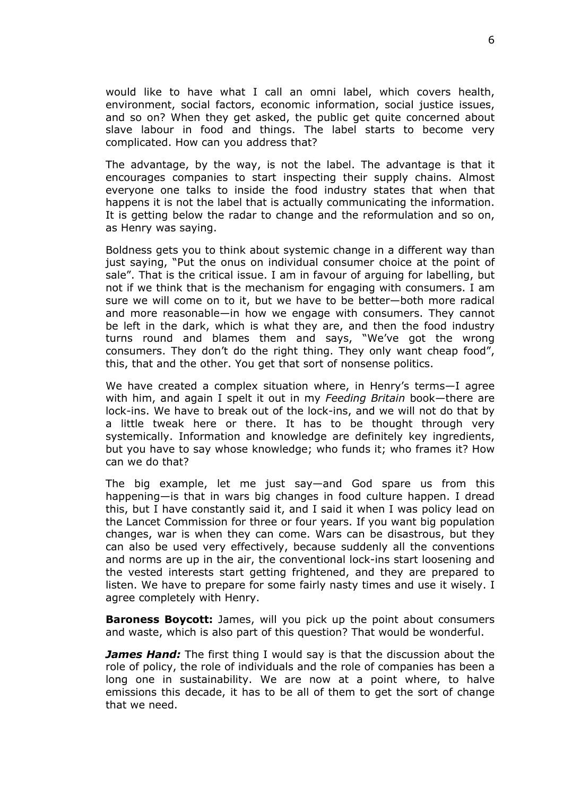would like to have what I call an omni label, which covers health, environment, social factors, economic information, social justice issues, and so on? When they get asked, the public get quite concerned about slave labour in food and things. The label starts to become very complicated. How can you address that?

The advantage, by the way, is not the label. The advantage is that it encourages companies to start inspecting their supply chains. Almost everyone one talks to inside the food industry states that when that happens it is not the label that is actually communicating the information. It is getting below the radar to change and the reformulation and so on, as Henry was saying.

Boldness gets you to think about systemic change in a different way than just saying, "Put the onus on individual consumer choice at the point of sale". That is the critical issue. I am in favour of arguing for labelling, but not if we think that is the mechanism for engaging with consumers. I am sure we will come on to it, but we have to be better—both more radical and more reasonable—in how we engage with consumers. They cannot be left in the dark, which is what they are, and then the food industry turns round and blames them and says, "We've got the wrong consumers. They don't do the right thing. They only want cheap food", this, that and the other. You get that sort of nonsense politics.

We have created a complex situation where, in Henry's terms—I agree with him, and again I spelt it out in my *Feeding Britain* book—there are lock-ins. We have to break out of the lock-ins, and we will not do that by a little tweak here or there. It has to be thought through very systemically. Information and knowledge are definitely key ingredients, but you have to say whose knowledge; who funds it; who frames it? How can we do that?

The big example, let me just say—and God spare us from this happening—is that in wars big changes in food culture happen. I dread this, but I have constantly said it, and I said it when I was policy lead on the Lancet Commission for three or four years. If you want big population changes, war is when they can come. Wars can be disastrous, but they can also be used very effectively, because suddenly all the conventions and norms are up in the air, the conventional lock-ins start loosening and the vested interests start getting frightened, and they are prepared to listen. We have to prepare for some fairly nasty times and use it wisely. I agree completely with Henry.

**Baroness Boycott:** James, will you pick up the point about consumers and waste, which is also part of this question? That would be wonderful.

*James Hand:* The first thing I would say is that the discussion about the role of policy, the role of individuals and the role of companies has been a long one in sustainability. We are now at a point where, to halve emissions this decade, it has to be all of them to get the sort of change that we need.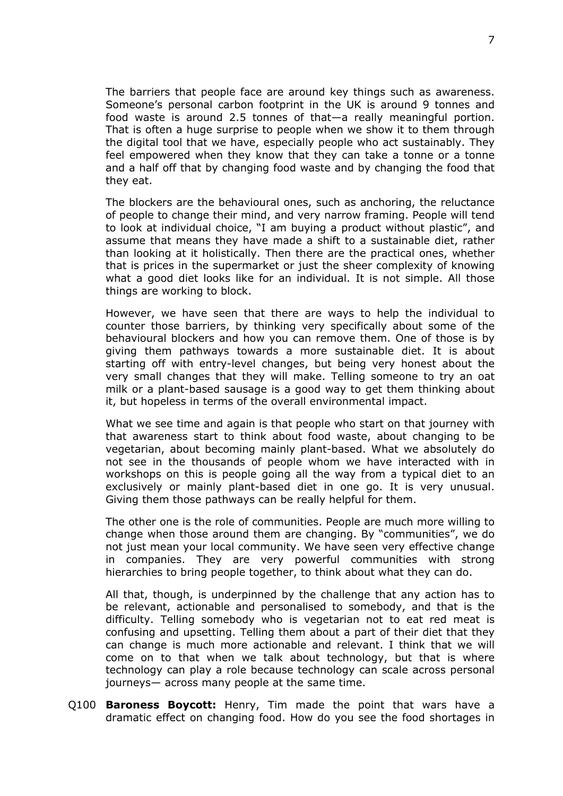The barriers that people face are around key things such as awareness. Someone's personal carbon footprint in the UK is around 9 tonnes and food waste is around 2.5 tonnes of that—a really meaningful portion. That is often a huge surprise to people when we show it to them through the digital tool that we have, especially people who act sustainably. They feel empowered when they know that they can take a tonne or a tonne and a half off that by changing food waste and by changing the food that they eat.

The blockers are the behavioural ones, such as anchoring, the reluctance of people to change their mind, and very narrow framing. People will tend to look at individual choice, "I am buying a product without plastic", and assume that means they have made a shift to a sustainable diet, rather than looking at it holistically. Then there are the practical ones, whether that is prices in the supermarket or just the sheer complexity of knowing what a good diet looks like for an individual. It is not simple. All those things are working to block.

However, we have seen that there are ways to help the individual to counter those barriers, by thinking very specifically about some of the behavioural blockers and how you can remove them. One of those is by giving them pathways towards a more sustainable diet. It is about starting off with entry-level changes, but being very honest about the very small changes that they will make. Telling someone to try an oat milk or a plant-based sausage is a good way to get them thinking about it, but hopeless in terms of the overall environmental impact.

What we see time and again is that people who start on that journey with that awareness start to think about food waste, about changing to be vegetarian, about becoming mainly plant-based. What we absolutely do not see in the thousands of people whom we have interacted with in workshops on this is people going all the way from a typical diet to an exclusively or mainly plant-based diet in one go. It is very unusual. Giving them those pathways can be really helpful for them.

The other one is the role of communities. People are much more willing to change when those around them are changing. By "communities", we do not just mean your local community. We have seen very effective change in companies. They are very powerful communities with strong hierarchies to bring people together, to think about what they can do.

All that, though, is underpinned by the challenge that any action has to be relevant, actionable and personalised to somebody, and that is the difficulty. Telling somebody who is vegetarian not to eat red meat is confusing and upsetting. Telling them about a part of their diet that they can change is much more actionable and relevant. I think that we will come on to that when we talk about technology, but that is where technology can play a role because technology can scale across personal journeys— across many people at the same time.

Q100 **Baroness Boycott:** Henry, Tim made the point that wars have a dramatic effect on changing food. How do you see the food shortages in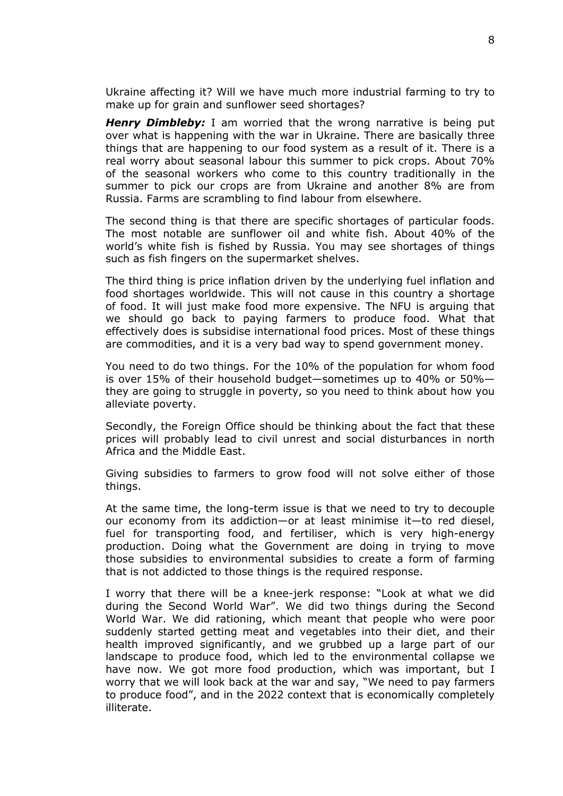Ukraine affecting it? Will we have much more industrial farming to try to make up for grain and sunflower seed shortages?

*Henry Dimbleby:* I am worried that the wrong narrative is being put over what is happening with the war in Ukraine. There are basically three things that are happening to our food system as a result of it. There is a real worry about seasonal labour this summer to pick crops. About 70% of the seasonal workers who come to this country traditionally in the summer to pick our crops are from Ukraine and another 8% are from Russia. Farms are scrambling to find labour from elsewhere.

The second thing is that there are specific shortages of particular foods. The most notable are sunflower oil and white fish. About 40% of the world's white fish is fished by Russia. You may see shortages of things such as fish fingers on the supermarket shelves.

The third thing is price inflation driven by the underlying fuel inflation and food shortages worldwide. This will not cause in this country a shortage of food. It will just make food more expensive. The NFU is arguing that we should go back to paying farmers to produce food. What that effectively does is subsidise international food prices. Most of these things are commodities, and it is a very bad way to spend government money.

You need to do two things. For the 10% of the population for whom food is over 15% of their household budget—sometimes up to 40% or 50% they are going to struggle in poverty, so you need to think about how you alleviate poverty.

Secondly, the Foreign Office should be thinking about the fact that these prices will probably lead to civil unrest and social disturbances in north Africa and the Middle East.

Giving subsidies to farmers to grow food will not solve either of those things.

At the same time, the long-term issue is that we need to try to decouple our economy from its addiction—or at least minimise it—to red diesel, fuel for transporting food, and fertiliser, which is very high-energy production. Doing what the Government are doing in trying to move those subsidies to environmental subsidies to create a form of farming that is not addicted to those things is the required response.

I worry that there will be a knee-jerk response: "Look at what we did during the Second World War". We did two things during the Second World War. We did rationing, which meant that people who were poor suddenly started getting meat and vegetables into their diet, and their health improved significantly, and we grubbed up a large part of our landscape to produce food, which led to the environmental collapse we have now. We got more food production, which was important, but I worry that we will look back at the war and say, "We need to pay farmers to produce food", and in the 2022 context that is economically completely illiterate.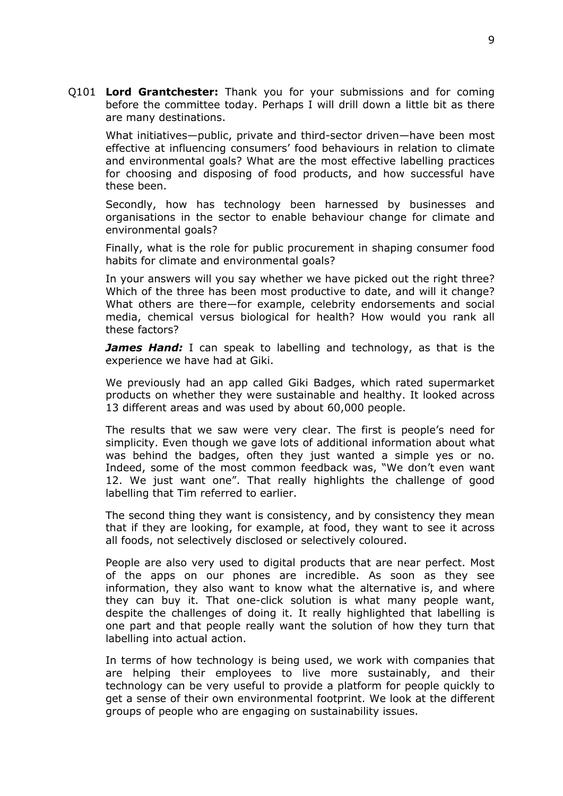Q101 **Lord Grantchester:** Thank you for your submissions and for coming before the committee today. Perhaps I will drill down a little bit as there are many destinations.

What initiatives—public, private and third-sector driven—have been most effective at influencing consumers' food behaviours in relation to climate and environmental goals? What are the most effective labelling practices for choosing and disposing of food products, and how successful have these been.

Secondly, how has technology been harnessed by businesses and organisations in the sector to enable behaviour change for climate and environmental goals?

Finally, what is the role for public procurement in shaping consumer food habits for climate and environmental goals?

In your answers will you say whether we have picked out the right three? Which of the three has been most productive to date, and will it change? What others are there—for example, celebrity endorsements and social media, chemical versus biological for health? How would you rank all these factors?

*James Hand:* I can speak to labelling and technology, as that is the experience we have had at Giki.

We previously had an app called Giki Badges, which rated supermarket products on whether they were sustainable and healthy. It looked across 13 different areas and was used by about 60,000 people.

The results that we saw were very clear. The first is people's need for simplicity. Even though we gave lots of additional information about what was behind the badges, often they just wanted a simple yes or no. Indeed, some of the most common feedback was, "We don't even want 12. We just want one". That really highlights the challenge of good labelling that Tim referred to earlier.

The second thing they want is consistency, and by consistency they mean that if they are looking, for example, at food, they want to see it across all foods, not selectively disclosed or selectively coloured.

People are also very used to digital products that are near perfect. Most of the apps on our phones are incredible. As soon as they see information, they also want to know what the alternative is, and where they can buy it. That one-click solution is what many people want, despite the challenges of doing it. It really highlighted that labelling is one part and that people really want the solution of how they turn that labelling into actual action.

In terms of how technology is being used, we work with companies that are helping their employees to live more sustainably, and their technology can be very useful to provide a platform for people quickly to get a sense of their own environmental footprint. We look at the different groups of people who are engaging on sustainability issues.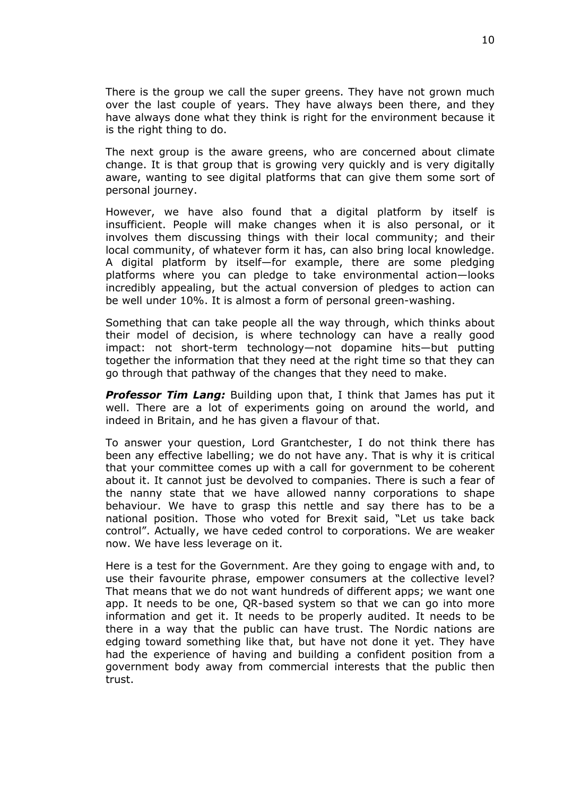There is the group we call the super greens. They have not grown much over the last couple of years. They have always been there, and they have always done what they think is right for the environment because it is the right thing to do.

The next group is the aware greens, who are concerned about climate change. It is that group that is growing very quickly and is very digitally aware, wanting to see digital platforms that can give them some sort of personal journey.

However, we have also found that a digital platform by itself is insufficient. People will make changes when it is also personal, or it involves them discussing things with their local community; and their local community, of whatever form it has, can also bring local knowledge. A digital platform by itself—for example, there are some pledging platforms where you can pledge to take environmental action—looks incredibly appealing, but the actual conversion of pledges to action can be well under 10%. It is almost a form of personal green-washing.

Something that can take people all the way through, which thinks about their model of decision, is where technology can have a really good impact: not short-term technology—not dopamine hits—but putting together the information that they need at the right time so that they can go through that pathway of the changes that they need to make.

*Professor Tim Lang:* Building upon that, I think that James has put it well. There are a lot of experiments going on around the world, and indeed in Britain, and he has given a flavour of that.

To answer your question, Lord Grantchester, I do not think there has been any effective labelling; we do not have any. That is why it is critical that your committee comes up with a call for government to be coherent about it. It cannot just be devolved to companies. There is such a fear of the nanny state that we have allowed nanny corporations to shape behaviour. We have to grasp this nettle and say there has to be a national position. Those who voted for Brexit said, "Let us take back control". Actually, we have ceded control to corporations. We are weaker now. We have less leverage on it.

Here is a test for the Government. Are they going to engage with and, to use their favourite phrase, empower consumers at the collective level? That means that we do not want hundreds of different apps; we want one app. It needs to be one, QR-based system so that we can go into more information and get it. It needs to be properly audited. It needs to be there in a way that the public can have trust. The Nordic nations are edging toward something like that, but have not done it yet. They have had the experience of having and building a confident position from a government body away from commercial interests that the public then trust.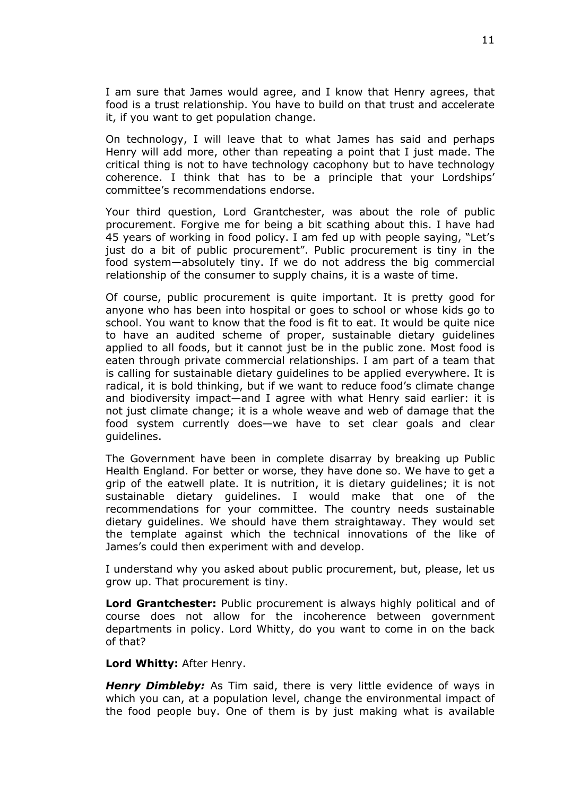I am sure that James would agree, and I know that Henry agrees, that food is a trust relationship. You have to build on that trust and accelerate it, if you want to get population change.

On technology, I will leave that to what James has said and perhaps Henry will add more, other than repeating a point that I just made. The critical thing is not to have technology cacophony but to have technology coherence. I think that has to be a principle that your Lordships' committee's recommendations endorse.

Your third question, Lord Grantchester, was about the role of public procurement. Forgive me for being a bit scathing about this. I have had 45 years of working in food policy. I am fed up with people saying, "Let's just do a bit of public procurement". Public procurement is tiny in the food system—absolutely tiny. If we do not address the big commercial relationship of the consumer to supply chains, it is a waste of time.

Of course, public procurement is quite important. It is pretty good for anyone who has been into hospital or goes to school or whose kids go to school. You want to know that the food is fit to eat. It would be quite nice to have an audited scheme of proper, sustainable dietary guidelines applied to all foods, but it cannot just be in the public zone. Most food is eaten through private commercial relationships. I am part of a team that is calling for sustainable dietary guidelines to be applied everywhere. It is radical, it is bold thinking, but if we want to reduce food's climate change and biodiversity impact—and I agree with what Henry said earlier: it is not just climate change; it is a whole weave and web of damage that the food system currently does—we have to set clear goals and clear guidelines.

The Government have been in complete disarray by breaking up Public Health England. For better or worse, they have done so. We have to get a grip of the eatwell plate. It is nutrition, it is dietary guidelines; it is not sustainable dietary guidelines. I would make that one of the recommendations for your committee. The country needs sustainable dietary guidelines. We should have them straightaway. They would set the template against which the technical innovations of the like of James's could then experiment with and develop.

I understand why you asked about public procurement, but, please, let us grow up. That procurement is tiny.

**Lord Grantchester:** Public procurement is always highly political and of course does not allow for the incoherence between government departments in policy. Lord Whitty, do you want to come in on the back of that?

#### **Lord Whitty:** After Henry.

*Henry Dimbleby:* As Tim said, there is very little evidence of ways in which you can, at a population level, change the environmental impact of the food people buy. One of them is by just making what is available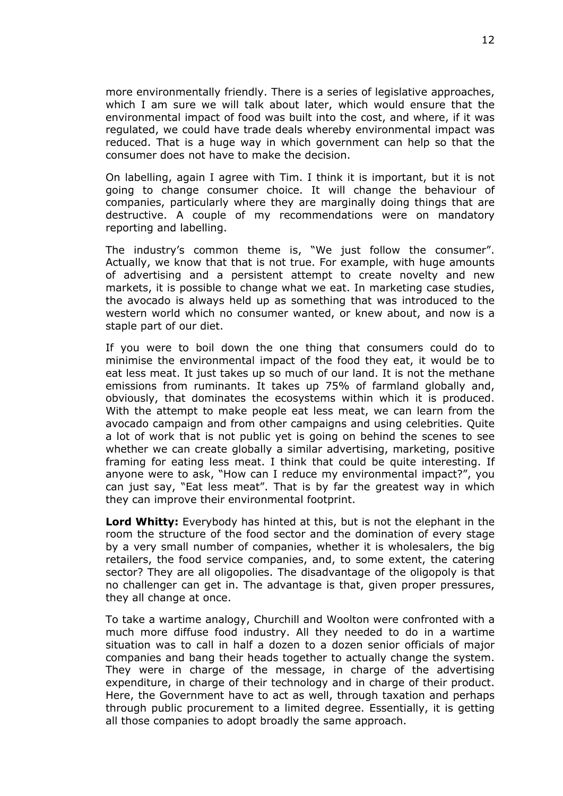more environmentally friendly. There is a series of legislative approaches, which I am sure we will talk about later, which would ensure that the environmental impact of food was built into the cost, and where, if it was regulated, we could have trade deals whereby environmental impact was reduced. That is a huge way in which government can help so that the consumer does not have to make the decision.

On labelling, again I agree with Tim. I think it is important, but it is not going to change consumer choice. It will change the behaviour of companies, particularly where they are marginally doing things that are destructive. A couple of my recommendations were on mandatory reporting and labelling.

The industry's common theme is, "We just follow the consumer". Actually, we know that that is not true. For example, with huge amounts of advertising and a persistent attempt to create novelty and new markets, it is possible to change what we eat. In marketing case studies, the avocado is always held up as something that was introduced to the western world which no consumer wanted, or knew about, and now is a staple part of our diet.

If you were to boil down the one thing that consumers could do to minimise the environmental impact of the food they eat, it would be to eat less meat. It just takes up so much of our land. It is not the methane emissions from ruminants. It takes up 75% of farmland globally and, obviously, that dominates the ecosystems within which it is produced. With the attempt to make people eat less meat, we can learn from the avocado campaign and from other campaigns and using celebrities. Quite a lot of work that is not public yet is going on behind the scenes to see whether we can create globally a similar advertising, marketing, positive framing for eating less meat. I think that could be quite interesting. If anyone were to ask, "How can I reduce my environmental impact?", you can just say, "Eat less meat". That is by far the greatest way in which they can improve their environmental footprint.

**Lord Whitty:** Everybody has hinted at this, but is not the elephant in the room the structure of the food sector and the domination of every stage by a very small number of companies, whether it is wholesalers, the big retailers, the food service companies, and, to some extent, the catering sector? They are all oligopolies. The disadvantage of the oligopoly is that no challenger can get in. The advantage is that, given proper pressures, they all change at once.

To take a wartime analogy, Churchill and Woolton were confronted with a much more diffuse food industry. All they needed to do in a wartime situation was to call in half a dozen to a dozen senior officials of major companies and bang their heads together to actually change the system. They were in charge of the message, in charge of the advertising expenditure, in charge of their technology and in charge of their product. Here, the Government have to act as well, through taxation and perhaps through public procurement to a limited degree. Essentially, it is getting all those companies to adopt broadly the same approach.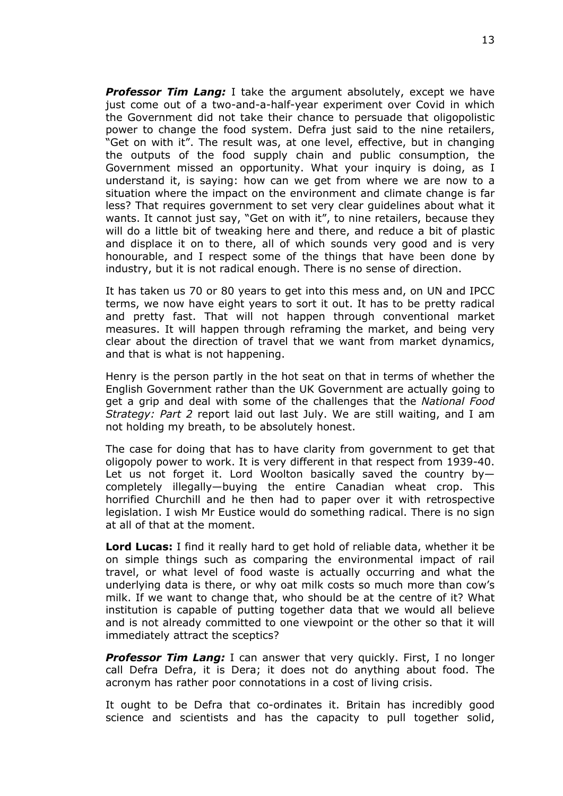*Professor Tim Lang:* I take the argument absolutely, except we have just come out of a two-and-a-half-year experiment over Covid in which the Government did not take their chance to persuade that oligopolistic power to change the food system. Defra just said to the nine retailers, "Get on with it". The result was, at one level, effective, but in changing the outputs of the food supply chain and public consumption, the Government missed an opportunity. What your inquiry is doing, as I understand it, is saying: how can we get from where we are now to a situation where the impact on the environment and climate change is far less? That requires government to set very clear guidelines about what it wants. It cannot just say, "Get on with it", to nine retailers, because they will do a little bit of tweaking here and there, and reduce a bit of plastic and displace it on to there, all of which sounds very good and is very honourable, and I respect some of the things that have been done by industry, but it is not radical enough. There is no sense of direction.

It has taken us 70 or 80 years to get into this mess and, on UN and IPCC terms, we now have eight years to sort it out. It has to be pretty radical and pretty fast. That will not happen through conventional market measures. It will happen through reframing the market, and being very clear about the direction of travel that we want from market dynamics, and that is what is not happening.

Henry is the person partly in the hot seat on that in terms of whether the English Government rather than the UK Government are actually going to get a grip and deal with some of the challenges that the *National Food Strategy: Part 2* report laid out last July. We are still waiting, and I am not holding my breath, to be absolutely honest.

The case for doing that has to have clarity from government to get that oligopoly power to work. It is very different in that respect from 1939-40. Let us not forget it. Lord Woolton basically saved the country bycompletely illegally—buying the entire Canadian wheat crop. This horrified Churchill and he then had to paper over it with retrospective legislation. I wish Mr Eustice would do something radical. There is no sign at all of that at the moment.

**Lord Lucas:** I find it really hard to get hold of reliable data, whether it be on simple things such as comparing the environmental impact of rail travel, or what level of food waste is actually occurring and what the underlying data is there, or why oat milk costs so much more than cow's milk. If we want to change that, who should be at the centre of it? What institution is capable of putting together data that we would all believe and is not already committed to one viewpoint or the other so that it will immediately attract the sceptics?

*Professor Tim Lang:* I can answer that very quickly. First, I no longer call Defra Defra, it is Dera; it does not do anything about food. The acronym has rather poor connotations in a cost of living crisis.

It ought to be Defra that co-ordinates it. Britain has incredibly good science and scientists and has the capacity to pull together solid,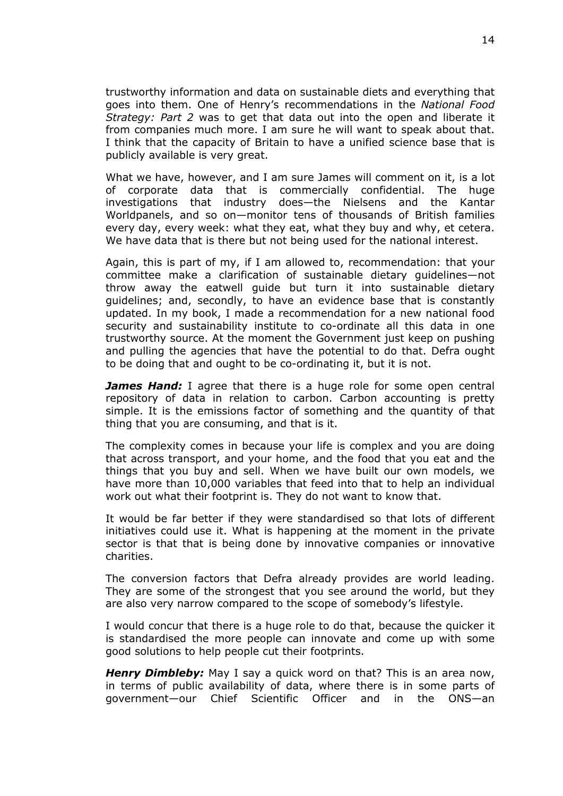trustworthy information and data on sustainable diets and everything that goes into them. One of Henry's recommendations in the *National Food Strategy: Part 2* was to get that data out into the open and liberate it from companies much more. I am sure he will want to speak about that. I think that the capacity of Britain to have a unified science base that is publicly available is very great.

What we have, however, and I am sure James will comment on it, is a lot of corporate data that is commercially confidential. The huge investigations that industry does—the Nielsens and the Kantar Worldpanels, and so on—monitor tens of thousands of British families every day, every week: what they eat, what they buy and why, et cetera. We have data that is there but not being used for the national interest.

Again, this is part of my, if I am allowed to, recommendation: that your committee make a clarification of sustainable dietary guidelines—not throw away the eatwell guide but turn it into sustainable dietary guidelines; and, secondly, to have an evidence base that is constantly updated. In my book, I made a recommendation for a new national food security and sustainability institute to co-ordinate all this data in one trustworthy source. At the moment the Government just keep on pushing and pulling the agencies that have the potential to do that. Defra ought to be doing that and ought to be co-ordinating it, but it is not.

*James Hand:* I agree that there is a huge role for some open central repository of data in relation to carbon. Carbon accounting is pretty simple. It is the emissions factor of something and the quantity of that thing that you are consuming, and that is it.

The complexity comes in because your life is complex and you are doing that across transport, and your home, and the food that you eat and the things that you buy and sell. When we have built our own models, we have more than 10,000 variables that feed into that to help an individual work out what their footprint is. They do not want to know that.

It would be far better if they were standardised so that lots of different initiatives could use it. What is happening at the moment in the private sector is that that is being done by innovative companies or innovative charities.

The conversion factors that Defra already provides are world leading. They are some of the strongest that you see around the world, but they are also very narrow compared to the scope of somebody's lifestyle.

I would concur that there is a huge role to do that, because the quicker it is standardised the more people can innovate and come up with some good solutions to help people cut their footprints.

*Henry Dimbleby:* May I say a quick word on that? This is an area now, in terms of public availability of data, where there is in some parts of government—our Chief Scientific Officer and in the ONS—an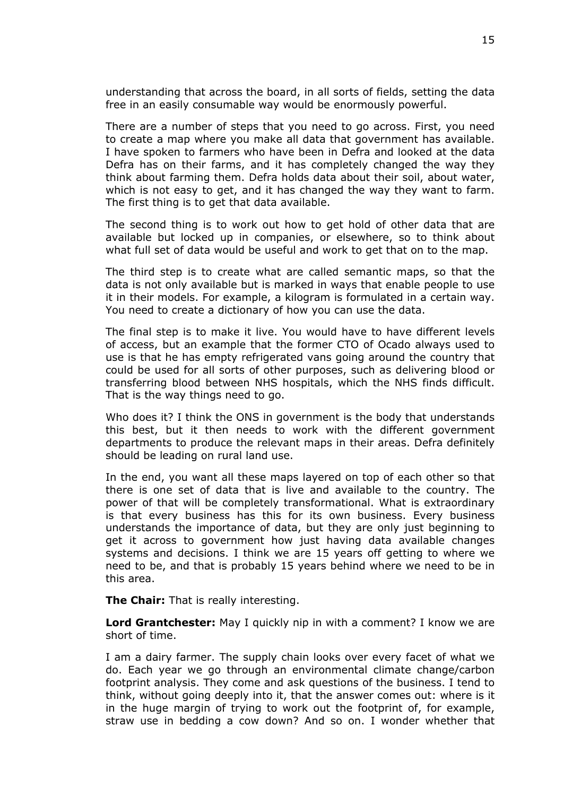understanding that across the board, in all sorts of fields, setting the data free in an easily consumable way would be enormously powerful.

There are a number of steps that you need to go across. First, you need to create a map where you make all data that government has available. I have spoken to farmers who have been in Defra and looked at the data Defra has on their farms, and it has completely changed the way they think about farming them. Defra holds data about their soil, about water, which is not easy to get, and it has changed the way they want to farm. The first thing is to get that data available.

The second thing is to work out how to get hold of other data that are available but locked up in companies, or elsewhere, so to think about what full set of data would be useful and work to get that on to the map.

The third step is to create what are called semantic maps, so that the data is not only available but is marked in ways that enable people to use it in their models. For example, a kilogram is formulated in a certain way. You need to create a dictionary of how you can use the data.

The final step is to make it live. You would have to have different levels of access, but an example that the former CTO of Ocado always used to use is that he has empty refrigerated vans going around the country that could be used for all sorts of other purposes, such as delivering blood or transferring blood between NHS hospitals, which the NHS finds difficult. That is the way things need to go.

Who does it? I think the ONS in government is the body that understands this best, but it then needs to work with the different government departments to produce the relevant maps in their areas. Defra definitely should be leading on rural land use.

In the end, you want all these maps layered on top of each other so that there is one set of data that is live and available to the country. The power of that will be completely transformational. What is extraordinary is that every business has this for its own business. Every business understands the importance of data, but they are only just beginning to get it across to government how just having data available changes systems and decisions. I think we are 15 years off getting to where we need to be, and that is probably 15 years behind where we need to be in this area.

**The Chair:** That is really interesting.

**Lord Grantchester:** May I quickly nip in with a comment? I know we are short of time.

I am a dairy farmer. The supply chain looks over every facet of what we do. Each year we go through an environmental climate change/carbon footprint analysis. They come and ask questions of the business. I tend to think, without going deeply into it, that the answer comes out: where is it in the huge margin of trying to work out the footprint of, for example, straw use in bedding a cow down? And so on. I wonder whether that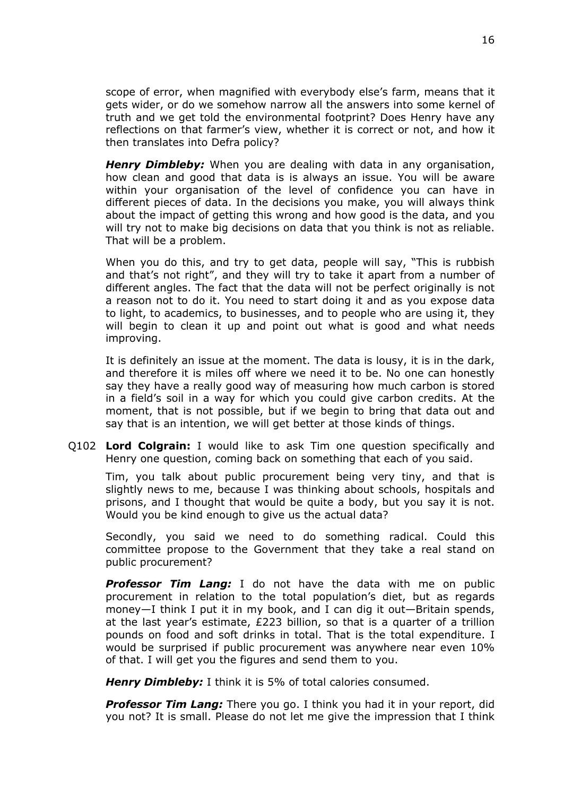scope of error, when magnified with everybody else's farm, means that it gets wider, or do we somehow narrow all the answers into some kernel of truth and we get told the environmental footprint? Does Henry have any reflections on that farmer's view, whether it is correct or not, and how it then translates into Defra policy?

*Henry Dimbleby:* When you are dealing with data in any organisation, how clean and good that data is is always an issue. You will be aware within your organisation of the level of confidence you can have in different pieces of data. In the decisions you make, you will always think about the impact of getting this wrong and how good is the data, and you will try not to make big decisions on data that you think is not as reliable. That will be a problem.

When you do this, and try to get data, people will say, "This is rubbish and that's not right", and they will try to take it apart from a number of different angles. The fact that the data will not be perfect originally is not a reason not to do it. You need to start doing it and as you expose data to light, to academics, to businesses, and to people who are using it, they will begin to clean it up and point out what is good and what needs improving.

It is definitely an issue at the moment. The data is lousy, it is in the dark, and therefore it is miles off where we need it to be. No one can honestly say they have a really good way of measuring how much carbon is stored in a field's soil in a way for which you could give carbon credits. At the moment, that is not possible, but if we begin to bring that data out and say that is an intention, we will get better at those kinds of things.

Q102 **Lord Colgrain:** I would like to ask Tim one question specifically and Henry one question, coming back on something that each of you said.

Tim, you talk about public procurement being very tiny, and that is slightly news to me, because I was thinking about schools, hospitals and prisons, and I thought that would be quite a body, but you say it is not. Would you be kind enough to give us the actual data?

Secondly, you said we need to do something radical. Could this committee propose to the Government that they take a real stand on public procurement?

*Professor Tim Lang:* I do not have the data with me on public procurement in relation to the total population's diet, but as regards money—I think I put it in my book, and I can dig it out—Britain spends, at the last year's estimate, £223 billion, so that is a quarter of a trillion pounds on food and soft drinks in total. That is the total expenditure. I would be surprised if public procurement was anywhere near even 10% of that. I will get you the figures and send them to you.

*Henry Dimbleby:* I think it is 5% of total calories consumed.

*Professor Tim Lang:* There you go. I think you had it in your report, did you not? It is small. Please do not let me give the impression that I think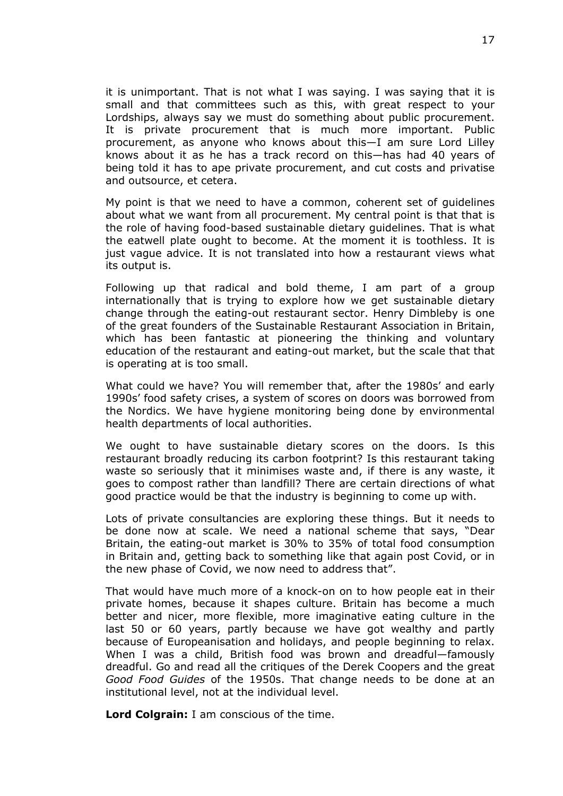it is unimportant. That is not what I was saying. I was saying that it is small and that committees such as this, with great respect to your Lordships, always say we must do something about public procurement. It is private procurement that is much more important. Public procurement, as anyone who knows about this—I am sure Lord Lilley knows about it as he has a track record on this—has had 40 years of being told it has to ape private procurement, and cut costs and privatise and outsource, et cetera.

My point is that we need to have a common, coherent set of guidelines about what we want from all procurement. My central point is that that is the role of having food-based sustainable dietary guidelines. That is what the eatwell plate ought to become. At the moment it is toothless. It is just vague advice. It is not translated into how a restaurant views what its output is.

Following up that radical and bold theme, I am part of a group internationally that is trying to explore how we get sustainable dietary change through the eating-out restaurant sector. Henry Dimbleby is one of the great founders of the Sustainable Restaurant Association in Britain, which has been fantastic at pioneering the thinking and voluntary education of the restaurant and eating-out market, but the scale that that is operating at is too small.

What could we have? You will remember that, after the 1980s' and early 1990s' food safety crises, a system of scores on doors was borrowed from the Nordics. We have hygiene monitoring being done by environmental health departments of local authorities.

We ought to have sustainable dietary scores on the doors. Is this restaurant broadly reducing its carbon footprint? Is this restaurant taking waste so seriously that it minimises waste and, if there is any waste, it goes to compost rather than landfill? There are certain directions of what good practice would be that the industry is beginning to come up with.

Lots of private consultancies are exploring these things. But it needs to be done now at scale. We need a national scheme that says, "Dear Britain, the eating-out market is 30% to 35% of total food consumption in Britain and, getting back to something like that again post Covid, or in the new phase of Covid, we now need to address that".

That would have much more of a knock-on on to how people eat in their private homes, because it shapes culture. Britain has become a much better and nicer, more flexible, more imaginative eating culture in the last 50 or 60 years, partly because we have got wealthy and partly because of Europeanisation and holidays, and people beginning to relax. When I was a child, British food was brown and dreadful—famously dreadful. Go and read all the critiques of the Derek Coopers and the great *Good Food Guides* of the 1950s. That change needs to be done at an institutional level, not at the individual level.

**Lord Colgrain:** I am conscious of the time.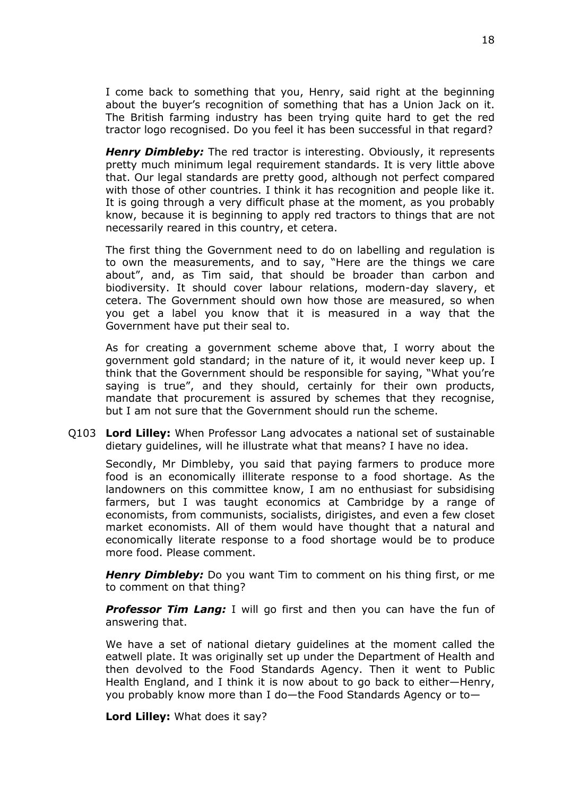I come back to something that you, Henry, said right at the beginning about the buyer's recognition of something that has a Union Jack on it. The British farming industry has been trying quite hard to get the red tractor logo recognised. Do you feel it has been successful in that regard?

*Henry Dimbleby:* The red tractor is interesting. Obviously, it represents pretty much minimum legal requirement standards. It is very little above that. Our legal standards are pretty good, although not perfect compared with those of other countries. I think it has recognition and people like it. It is going through a very difficult phase at the moment, as you probably know, because it is beginning to apply red tractors to things that are not necessarily reared in this country, et cetera.

The first thing the Government need to do on labelling and regulation is to own the measurements, and to say, "Here are the things we care about", and, as Tim said, that should be broader than carbon and biodiversity. It should cover labour relations, modern-day slavery, et cetera. The Government should own how those are measured, so when you get a label you know that it is measured in a way that the Government have put their seal to.

As for creating a government scheme above that, I worry about the government gold standard; in the nature of it, it would never keep up. I think that the Government should be responsible for saying, "What you're saying is true", and they should, certainly for their own products, mandate that procurement is assured by schemes that they recognise, but I am not sure that the Government should run the scheme.

Q103 **Lord Lilley:** When Professor Lang advocates a national set of sustainable dietary guidelines, will he illustrate what that means? I have no idea.

Secondly, Mr Dimbleby, you said that paying farmers to produce more food is an economically illiterate response to a food shortage. As the landowners on this committee know, I am no enthusiast for subsidising farmers, but I was taught economics at Cambridge by a range of economists, from communists, socialists, dirigistes, and even a few closet market economists. All of them would have thought that a natural and economically literate response to a food shortage would be to produce more food. Please comment.

*Henry Dimbleby:* Do you want Tim to comment on his thing first, or me to comment on that thing?

*Professor Tim Lang:* I will go first and then you can have the fun of answering that.

We have a set of national dietary guidelines at the moment called the eatwell plate. It was originally set up under the Department of Health and then devolved to the Food Standards Agency. Then it went to Public Health England, and I think it is now about to go back to either—Henry, you probably know more than I do—the Food Standards Agency or to—

**Lord Lilley:** What does it say?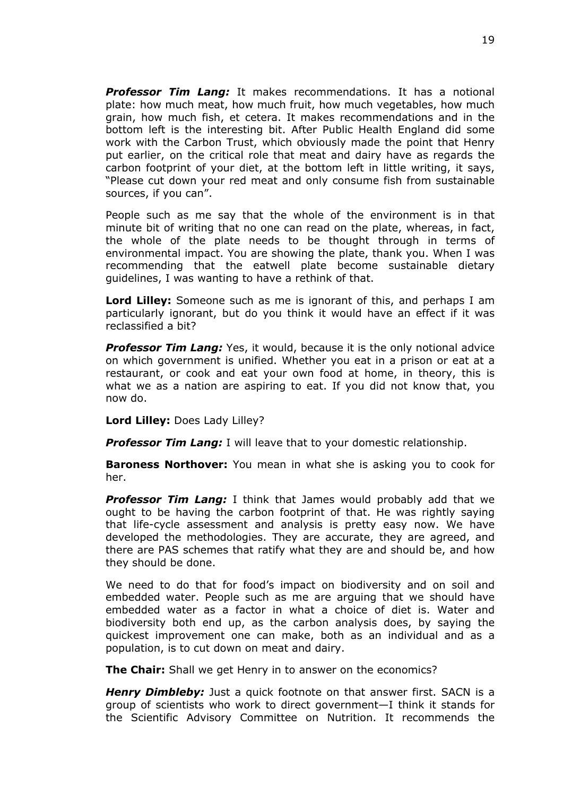*Professor Tim Lang:* It makes recommendations. It has a notional plate: how much meat, how much fruit, how much vegetables, how much grain, how much fish, et cetera. It makes recommendations and in the bottom left is the interesting bit. After Public Health England did some work with the Carbon Trust, which obviously made the point that Henry put earlier, on the critical role that meat and dairy have as regards the carbon footprint of your diet, at the bottom left in little writing, it says, "Please cut down your red meat and only consume fish from sustainable sources, if you can".

People such as me say that the whole of the environment is in that minute bit of writing that no one can read on the plate, whereas, in fact, the whole of the plate needs to be thought through in terms of environmental impact. You are showing the plate, thank you. When I was recommending that the eatwell plate become sustainable dietary guidelines, I was wanting to have a rethink of that.

**Lord Lilley:** Someone such as me is ignorant of this, and perhaps I am particularly ignorant, but do you think it would have an effect if it was reclassified a bit?

*Professor Tim Lang:* Yes, it would, because it is the only notional advice on which government is unified. Whether you eat in a prison or eat at a restaurant, or cook and eat your own food at home, in theory, this is what we as a nation are aspiring to eat. If you did not know that, you now do.

**Lord Lilley:** Does Lady Lilley?

*Professor Tim Lang:* I will leave that to your domestic relationship.

**Baroness Northover:** You mean in what she is asking you to cook for her.

*Professor Tim Lang:* I think that James would probably add that we ought to be having the carbon footprint of that. He was rightly saying that life-cycle assessment and analysis is pretty easy now. We have developed the methodologies. They are accurate, they are agreed, and there are PAS schemes that ratify what they are and should be, and how they should be done.

We need to do that for food's impact on biodiversity and on soil and embedded water. People such as me are arguing that we should have embedded water as a factor in what a choice of diet is. Water and biodiversity both end up, as the carbon analysis does, by saying the quickest improvement one can make, both as an individual and as a population, is to cut down on meat and dairy.

**The Chair:** Shall we get Henry in to answer on the economics?

*Henry Dimbleby:* Just a quick footnote on that answer first. SACN is a group of scientists who work to direct government—I think it stands for the Scientific Advisory Committee on Nutrition. It recommends the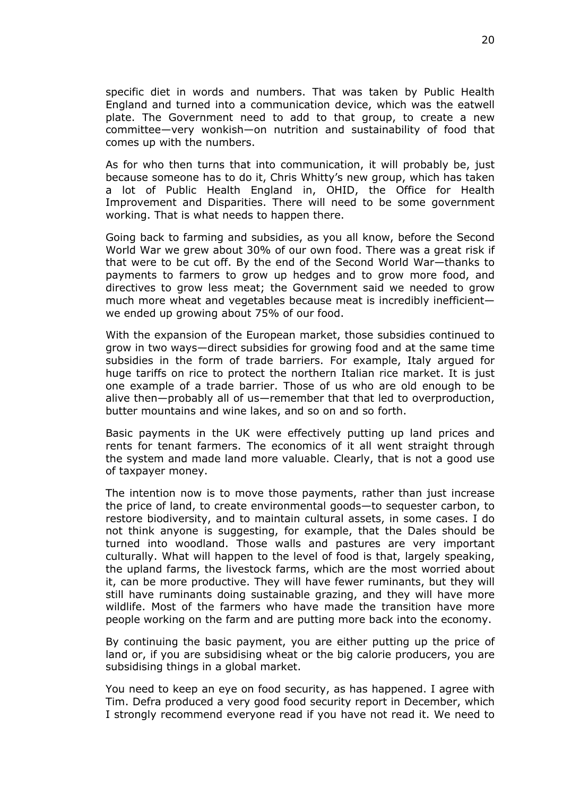specific diet in words and numbers. That was taken by Public Health England and turned into a communication device, which was the eatwell plate. The Government need to add to that group, to create a new committee—very wonkish—on nutrition and sustainability of food that comes up with the numbers.

As for who then turns that into communication, it will probably be, just because someone has to do it, Chris Whitty's new group, which has taken a lot of Public Health England in, OHID, the Office for Health Improvement and Disparities. There will need to be some government working. That is what needs to happen there.

Going back to farming and subsidies, as you all know, before the Second World War we grew about 30% of our own food. There was a great risk if that were to be cut off. By the end of the Second World War—thanks to payments to farmers to grow up hedges and to grow more food, and directives to grow less meat; the Government said we needed to grow much more wheat and vegetables because meat is incredibly inefficient we ended up growing about 75% of our food.

With the expansion of the European market, those subsidies continued to grow in two ways—direct subsidies for growing food and at the same time subsidies in the form of trade barriers. For example, Italy argued for huge tariffs on rice to protect the northern Italian rice market. It is just one example of a trade barrier. Those of us who are old enough to be alive then—probably all of us—remember that that led to overproduction, butter mountains and wine lakes, and so on and so forth.

Basic payments in the UK were effectively putting up land prices and rents for tenant farmers. The economics of it all went straight through the system and made land more valuable. Clearly, that is not a good use of taxpayer money.

The intention now is to move those payments, rather than just increase the price of land, to create environmental goods—to sequester carbon, to restore biodiversity, and to maintain cultural assets, in some cases. I do not think anyone is suggesting, for example, that the Dales should be turned into woodland. Those walls and pastures are very important culturally. What will happen to the level of food is that, largely speaking, the upland farms, the livestock farms, which are the most worried about it, can be more productive. They will have fewer ruminants, but they will still have ruminants doing sustainable grazing, and they will have more wildlife. Most of the farmers who have made the transition have more people working on the farm and are putting more back into the economy.

By continuing the basic payment, you are either putting up the price of land or, if you are subsidising wheat or the big calorie producers, you are subsidising things in a global market.

You need to keep an eye on food security, as has happened. I agree with Tim. Defra produced a very good food security report in December, which I strongly recommend everyone read if you have not read it. We need to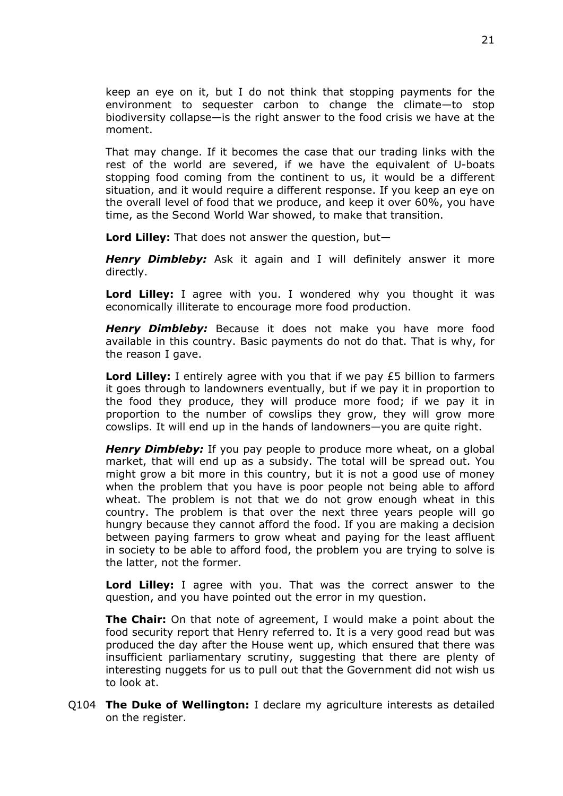keep an eye on it, but I do not think that stopping payments for the environment to sequester carbon to change the climate—to stop biodiversity collapse—is the right answer to the food crisis we have at the moment.

That may change. If it becomes the case that our trading links with the rest of the world are severed, if we have the equivalent of U-boats stopping food coming from the continent to us, it would be a different situation, and it would require a different response. If you keep an eye on the overall level of food that we produce, and keep it over 60%, you have time, as the Second World War showed, to make that transition.

**Lord Lilley:** That does not answer the question, but—

*Henry Dimbleby:* Ask it again and I will definitely answer it more directly.

**Lord Lilley:** I agree with you. I wondered why you thought it was economically illiterate to encourage more food production.

*Henry Dimbleby:* Because it does not make you have more food available in this country. Basic payments do not do that. That is why, for the reason I gave.

**Lord Lilley:** I entirely agree with you that if we pay £5 billion to farmers it goes through to landowners eventually, but if we pay it in proportion to the food they produce, they will produce more food; if we pay it in proportion to the number of cowslips they grow, they will grow more cowslips. It will end up in the hands of landowners—you are quite right.

*Henry Dimbleby:* If you pay people to produce more wheat, on a global market, that will end up as a subsidy. The total will be spread out. You might grow a bit more in this country, but it is not a good use of money when the problem that you have is poor people not being able to afford wheat. The problem is not that we do not grow enough wheat in this country. The problem is that over the next three years people will go hungry because they cannot afford the food. If you are making a decision between paying farmers to grow wheat and paying for the least affluent in society to be able to afford food, the problem you are trying to solve is the latter, not the former.

**Lord Lilley:** I agree with you. That was the correct answer to the question, and you have pointed out the error in my question.

**The Chair:** On that note of agreement, I would make a point about the food security report that Henry referred to. It is a very good read but was produced the day after the House went up, which ensured that there was insufficient parliamentary scrutiny, suggesting that there are plenty of interesting nuggets for us to pull out that the Government did not wish us to look at.

Q104 **The Duke of Wellington:** I declare my agriculture interests as detailed on the register.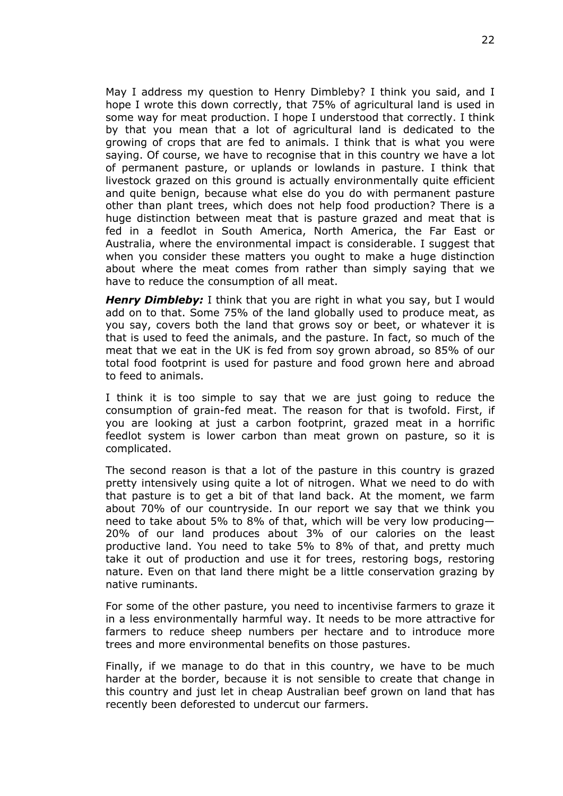May I address my question to Henry Dimbleby? I think you said, and I hope I wrote this down correctly, that 75% of agricultural land is used in some way for meat production. I hope I understood that correctly. I think by that you mean that a lot of agricultural land is dedicated to the growing of crops that are fed to animals. I think that is what you were saying. Of course, we have to recognise that in this country we have a lot of permanent pasture, or uplands or lowlands in pasture. I think that livestock grazed on this ground is actually environmentally quite efficient and quite benign, because what else do you do with permanent pasture other than plant trees, which does not help food production? There is a huge distinction between meat that is pasture grazed and meat that is fed in a feedlot in South America, North America, the Far East or Australia, where the environmental impact is considerable. I suggest that when you consider these matters you ought to make a huge distinction about where the meat comes from rather than simply saying that we have to reduce the consumption of all meat.

*Henry Dimbleby:* I think that you are right in what you say, but I would add on to that. Some 75% of the land globally used to produce meat, as you say, covers both the land that grows soy or beet, or whatever it is that is used to feed the animals, and the pasture. In fact, so much of the meat that we eat in the UK is fed from soy grown abroad, so 85% of our total food footprint is used for pasture and food grown here and abroad to feed to animals.

I think it is too simple to say that we are just going to reduce the consumption of grain-fed meat. The reason for that is twofold. First, if you are looking at just a carbon footprint, grazed meat in a horrific feedlot system is lower carbon than meat grown on pasture, so it is complicated.

The second reason is that a lot of the pasture in this country is grazed pretty intensively using quite a lot of nitrogen. What we need to do with that pasture is to get a bit of that land back. At the moment, we farm about 70% of our countryside. In our report we say that we think you need to take about 5% to 8% of that, which will be very low producing— 20% of our land produces about 3% of our calories on the least productive land. You need to take 5% to 8% of that, and pretty much take it out of production and use it for trees, restoring bogs, restoring nature. Even on that land there might be a little conservation grazing by native ruminants.

For some of the other pasture, you need to incentivise farmers to graze it in a less environmentally harmful way. It needs to be more attractive for farmers to reduce sheep numbers per hectare and to introduce more trees and more environmental benefits on those pastures.

Finally, if we manage to do that in this country, we have to be much harder at the border, because it is not sensible to create that change in this country and just let in cheap Australian beef grown on land that has recently been deforested to undercut our farmers.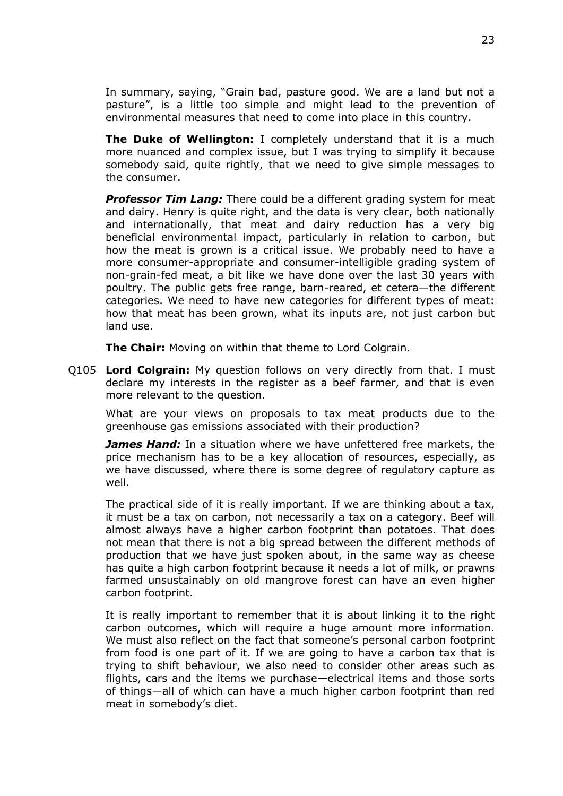In summary, saying, "Grain bad, pasture good. We are a land but not a pasture", is a little too simple and might lead to the prevention of environmental measures that need to come into place in this country.

**The Duke of Wellington:** I completely understand that it is a much more nuanced and complex issue, but I was trying to simplify it because somebody said, quite rightly, that we need to give simple messages to the consumer.

*Professor Tim Lang:* There could be a different grading system for meat and dairy. Henry is quite right, and the data is very clear, both nationally and internationally, that meat and dairy reduction has a very big beneficial environmental impact, particularly in relation to carbon, but how the meat is grown is a critical issue. We probably need to have a more consumer-appropriate and consumer-intelligible grading system of non-grain-fed meat, a bit like we have done over the last 30 years with poultry. The public gets free range, barn-reared, et cetera—the different categories. We need to have new categories for different types of meat: how that meat has been grown, what its inputs are, not just carbon but land use.

**The Chair:** Moving on within that theme to Lord Colgrain.

Q105 **Lord Colgrain:** My question follows on very directly from that. I must declare my interests in the register as a beef farmer, and that is even more relevant to the question.

What are your views on proposals to tax meat products due to the greenhouse gas emissions associated with their production?

*James Hand:* In a situation where we have unfettered free markets, the price mechanism has to be a key allocation of resources, especially, as we have discussed, where there is some degree of regulatory capture as well.

The practical side of it is really important. If we are thinking about a tax, it must be a tax on carbon, not necessarily a tax on a category. Beef will almost always have a higher carbon footprint than potatoes. That does not mean that there is not a big spread between the different methods of production that we have just spoken about, in the same way as cheese has quite a high carbon footprint because it needs a lot of milk, or prawns farmed unsustainably on old mangrove forest can have an even higher carbon footprint.

It is really important to remember that it is about linking it to the right carbon outcomes, which will require a huge amount more information. We must also reflect on the fact that someone's personal carbon footprint from food is one part of it. If we are going to have a carbon tax that is trying to shift behaviour, we also need to consider other areas such as flights, cars and the items we purchase—electrical items and those sorts of things—all of which can have a much higher carbon footprint than red meat in somebody's diet.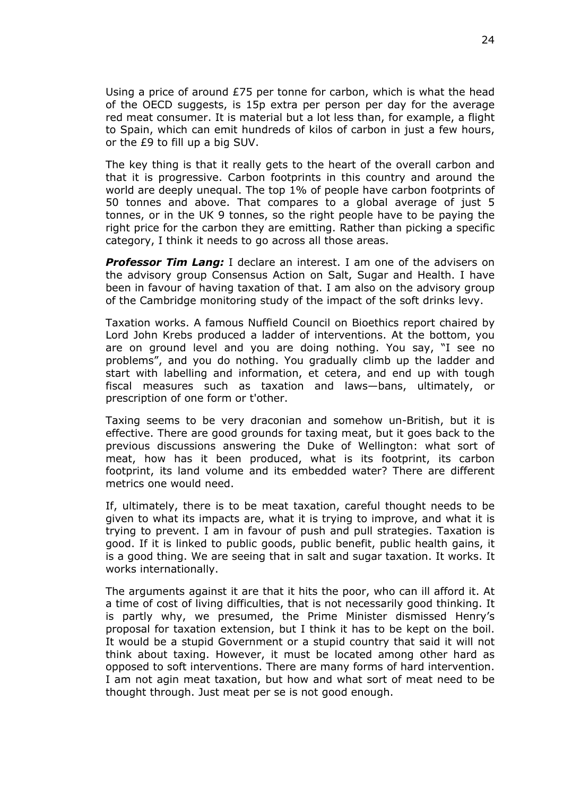Using a price of around  $E75$  per tonne for carbon, which is what the head of the OECD suggests, is 15p extra per person per day for the average red meat consumer. It is material but a lot less than, for example, a flight to Spain, which can emit hundreds of kilos of carbon in just a few hours, or the £9 to fill up a big SUV.

The key thing is that it really gets to the heart of the overall carbon and that it is progressive. Carbon footprints in this country and around the world are deeply unequal. The top 1% of people have carbon footprints of 50 tonnes and above. That compares to a global average of just 5 tonnes, or in the UK 9 tonnes, so the right people have to be paying the right price for the carbon they are emitting. Rather than picking a specific category, I think it needs to go across all those areas.

*Professor Tim Lang:* I declare an interest. I am one of the advisers on the advisory group Consensus Action on Salt, Sugar and Health. I have been in favour of having taxation of that. I am also on the advisory group of the Cambridge monitoring study of the impact of the soft drinks levy.

Taxation works. A famous Nuffield Council on Bioethics report chaired by Lord John Krebs produced a ladder of interventions. At the bottom, you are on ground level and you are doing nothing. You say, "I see no problems", and you do nothing. You gradually climb up the ladder and start with labelling and information, et cetera, and end up with tough fiscal measures such as taxation and laws—bans, ultimately, or prescription of one form or t'other.

Taxing seems to be very draconian and somehow un-British, but it is effective. There are good grounds for taxing meat, but it goes back to the previous discussions answering the Duke of Wellington: what sort of meat, how has it been produced, what is its footprint, its carbon footprint, its land volume and its embedded water? There are different metrics one would need.

If, ultimately, there is to be meat taxation, careful thought needs to be given to what its impacts are, what it is trying to improve, and what it is trying to prevent. I am in favour of push and pull strategies. Taxation is good. If it is linked to public goods, public benefit, public health gains, it is a good thing. We are seeing that in salt and sugar taxation. It works. It works internationally.

The arguments against it are that it hits the poor, who can ill afford it. At a time of cost of living difficulties, that is not necessarily good thinking. It is partly why, we presumed, the Prime Minister dismissed Henry's proposal for taxation extension, but I think it has to be kept on the boil. It would be a stupid Government or a stupid country that said it will not think about taxing. However, it must be located among other hard as opposed to soft interventions. There are many forms of hard intervention. I am not agin meat taxation, but how and what sort of meat need to be thought through. Just meat per se is not good enough.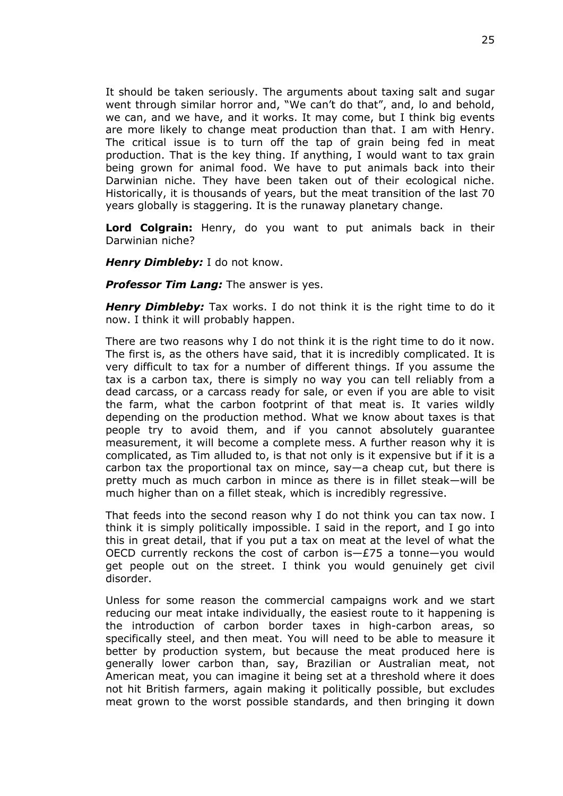It should be taken seriously. The arguments about taxing salt and sugar went through similar horror and, "We can't do that", and, lo and behold, we can, and we have, and it works. It may come, but I think big events are more likely to change meat production than that. I am with Henry. The critical issue is to turn off the tap of grain being fed in meat production. That is the key thing. If anything, I would want to tax grain being grown for animal food. We have to put animals back into their Darwinian niche. They have been taken out of their ecological niche. Historically, it is thousands of years, but the meat transition of the last 70 years globally is staggering. It is the runaway planetary change.

**Lord Colgrain:** Henry, do you want to put animals back in their Darwinian niche?

*Henry Dimbleby:* I do not know.

*Professor Tim Lang:* The answer is yes.

*Henry Dimbleby:* Tax works. I do not think it is the right time to do it now. I think it will probably happen.

There are two reasons why I do not think it is the right time to do it now. The first is, as the others have said, that it is incredibly complicated. It is very difficult to tax for a number of different things. If you assume the tax is a carbon tax, there is simply no way you can tell reliably from a dead carcass, or a carcass ready for sale, or even if you are able to visit the farm, what the carbon footprint of that meat is. It varies wildly depending on the production method. What we know about taxes is that people try to avoid them, and if you cannot absolutely guarantee measurement, it will become a complete mess. A further reason why it is complicated, as Tim alluded to, is that not only is it expensive but if it is a carbon tax the proportional tax on mince, say—a cheap cut, but there is pretty much as much carbon in mince as there is in fillet steak—will be much higher than on a fillet steak, which is incredibly regressive.

That feeds into the second reason why I do not think you can tax now. I think it is simply politically impossible. I said in the report, and I go into this in great detail, that if you put a tax on meat at the level of what the OECD currently reckons the cost of carbon  $iS$  = £75 a tonne—you would get people out on the street. I think you would genuinely get civil disorder.

Unless for some reason the commercial campaigns work and we start reducing our meat intake individually, the easiest route to it happening is the introduction of carbon border taxes in high-carbon areas, so specifically steel, and then meat. You will need to be able to measure it better by production system, but because the meat produced here is generally lower carbon than, say, Brazilian or Australian meat, not American meat, you can imagine it being set at a threshold where it does not hit British farmers, again making it politically possible, but excludes meat grown to the worst possible standards, and then bringing it down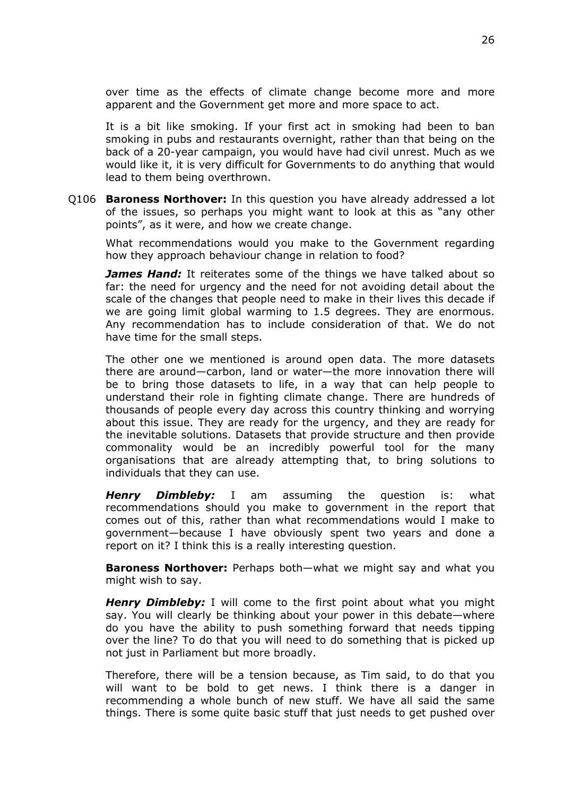over time as the effects of climate change become more and more apparent and the Government get more and more space to act.

It is a bit like smoking. If your first act in smoking had been to ban smoking in pubs and restaurants overnight, rather than that being on the back of a 20-year campaign, you would have had civil unrest. Much as we would like it, it is very difficult for Governments to do anything that would lead to them being overthrown.

Q106 **Baroness Northover:** In this question you have already addressed a lot of the issues, so perhaps you might want to look at this as "any other points", as it were, and how we create change.

What recommendations would you make to the Government regarding how they approach behaviour change in relation to food?

*James Hand:* It reiterates some of the things we have talked about so far: the need for urgency and the need for not avoiding detail about the scale of the changes that people need to make in their lives this decade if we are going limit global warming to 1.5 degrees. They are enormous. Any recommendation has to include consideration of that. We do not have time for the small steps.

The other one we mentioned is around open data. The more datasets there are around—carbon, land or water—the more innovation there will be to bring those datasets to life, in a way that can help people to understand their role in fighting climate change. There are hundreds of thousands of people every day across this country thinking and worrying about this issue. They are ready for the urgency, and they are ready for the inevitable solutions. Datasets that provide structure and then provide commonality would be an incredibly powerful tool for the many organisations that are already attempting that, to bring solutions to individuals that they can use.

*Henry Dimbleby:* I am assuming the question is: what recommendations should you make to government in the report that comes out of this, rather than what recommendations would I make to government—because I have obviously spent two years and done a report on it? I think this is a really interesting question.

**Baroness Northover:** Perhaps both—what we might say and what you might wish to say.

*Henry Dimbleby:* I will come to the first point about what you might say. You will clearly be thinking about your power in this debate—where do you have the ability to push something forward that needs tipping over the line? To do that you will need to do something that is picked up not just in Parliament but more broadly.

Therefore, there will be a tension because, as Tim said, to do that you will want to be bold to get news. I think there is a danger in recommending a whole bunch of new stuff. We have all said the same things. There is some quite basic stuff that just needs to get pushed over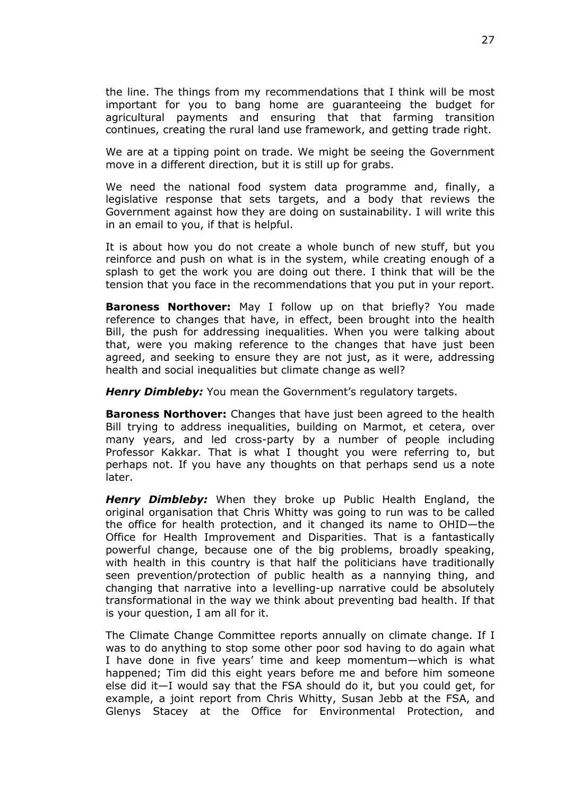the line. The things from my recommendations that I think will be most important for you to bang home are guaranteeing the budget for agricultural payments and ensuring that that farming transition continues, creating the rural land use framework, and getting trade right.

We are at a tipping point on trade. We might be seeing the Government move in a different direction, but it is still up for grabs.

We need the national food system data programme and, finally, a legislative response that sets targets, and a body that reviews the Government against how they are doing on sustainability. I will write this in an email to you, if that is helpful.

It is about how you do not create a whole bunch of new stuff, but you reinforce and push on what is in the system, while creating enough of a splash to get the work you are doing out there. I think that will be the tension that you face in the recommendations that you put in your report.

**Baroness Northover:** May I follow up on that briefly? You made reference to changes that have, in effect, been brought into the health Bill, the push for addressing inequalities. When you were talking about that, were you making reference to the changes that have just been agreed, and seeking to ensure they are not just, as it were, addressing health and social inequalities but climate change as well?

*Henry Dimbleby:* You mean the Government's regulatory targets.

**Baroness Northover:** Changes that have just been agreed to the health Bill trying to address inequalities, building on Marmot, et cetera, over many years, and led cross-party by a number of people including Professor Kakkar. That is what I thought you were referring to, but perhaps not. If you have any thoughts on that perhaps send us a note later.

*Henry Dimbleby:* When they broke up Public Health England, the original organisation that Chris Whitty was going to run was to be called the office for health protection, and it changed its name to OHID—the Office for Health Improvement and Disparities. That is a fantastically powerful change, because one of the big problems, broadly speaking, with health in this country is that half the politicians have traditionally seen prevention/protection of public health as a nannying thing, and changing that narrative into a levelling-up narrative could be absolutely transformational in the way we think about preventing bad health. If that is your question, I am all for it.

The Climate Change Committee reports annually on climate change. If I was to do anything to stop some other poor sod having to do again what I have done in five years' time and keep momentum—which is what happened; Tim did this eight years before me and before him someone else did it—I would say that the FSA should do it, but you could get, for example, a joint report from Chris Whitty, Susan Jebb at the FSA, and Glenys Stacey at the Office for Environmental Protection, and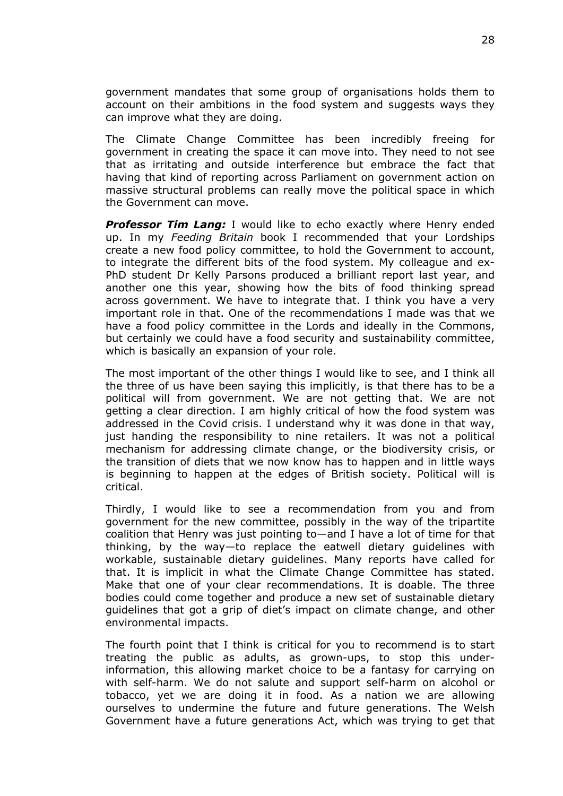government mandates that some group of organisations holds them to account on their ambitions in the food system and suggests ways they can improve what they are doing.

The Climate Change Committee has been incredibly freeing for government in creating the space it can move into. They need to not see that as irritating and outside interference but embrace the fact that having that kind of reporting across Parliament on government action on massive structural problems can really move the political space in which the Government can move.

*Professor Tim Lang:* I would like to echo exactly where Henry ended up. In my *Feeding Britain* book I recommended that your Lordships create a new food policy committee, to hold the Government to account, to integrate the different bits of the food system. My colleague and ex-PhD student Dr Kelly Parsons produced a brilliant report last year, and another one this year, showing how the bits of food thinking spread across government. We have to integrate that. I think you have a very important role in that. One of the recommendations I made was that we have a food policy committee in the Lords and ideally in the Commons, but certainly we could have a food security and sustainability committee, which is basically an expansion of your role.

The most important of the other things I would like to see, and I think all the three of us have been saying this implicitly, is that there has to be a political will from government. We are not getting that. We are not getting a clear direction. I am highly critical of how the food system was addressed in the Covid crisis. I understand why it was done in that way, just handing the responsibility to nine retailers. It was not a political mechanism for addressing climate change, or the biodiversity crisis, or the transition of diets that we now know has to happen and in little ways is beginning to happen at the edges of British society. Political will is critical.

Thirdly, I would like to see a recommendation from you and from government for the new committee, possibly in the way of the tripartite coalition that Henry was just pointing to—and I have a lot of time for that thinking, by the way—to replace the eatwell dietary guidelines with workable, sustainable dietary guidelines. Many reports have called for that. It is implicit in what the Climate Change Committee has stated. Make that one of your clear recommendations. It is doable. The three bodies could come together and produce a new set of sustainable dietary guidelines that got a grip of diet's impact on climate change, and other environmental impacts.

The fourth point that I think is critical for you to recommend is to start treating the public as adults, as grown-ups, to stop this underinformation, this allowing market choice to be a fantasy for carrying on with self-harm. We do not salute and support self-harm on alcohol or tobacco, yet we are doing it in food. As a nation we are allowing ourselves to undermine the future and future generations. The Welsh Government have a future generations Act, which was trying to get that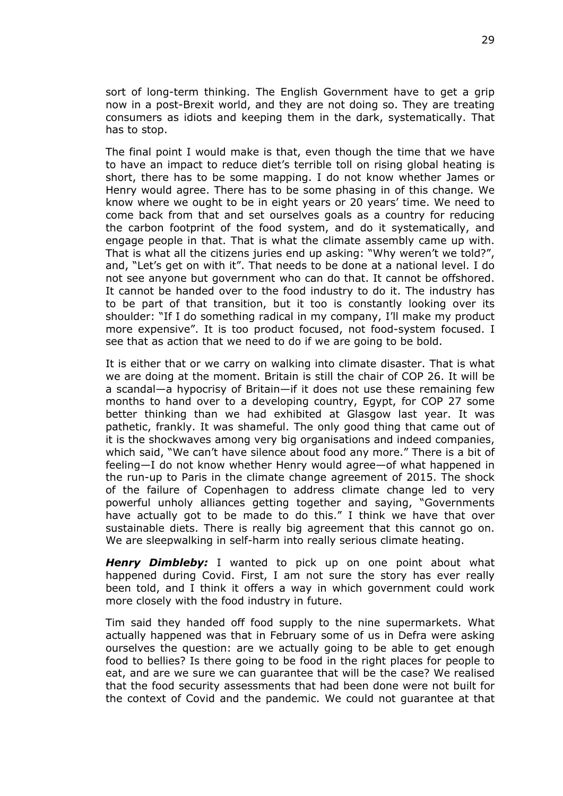sort of long-term thinking. The English Government have to get a grip now in a post-Brexit world, and they are not doing so. They are treating consumers as idiots and keeping them in the dark, systematically. That has to stop.

The final point I would make is that, even though the time that we have to have an impact to reduce diet's terrible toll on rising global heating is short, there has to be some mapping. I do not know whether James or Henry would agree. There has to be some phasing in of this change. We know where we ought to be in eight years or 20 years' time. We need to come back from that and set ourselves goals as a country for reducing the carbon footprint of the food system, and do it systematically, and engage people in that. That is what the climate assembly came up with. That is what all the citizens juries end up asking: "Why weren't we told?", and, "Let's get on with it". That needs to be done at a national level. I do not see anyone but government who can do that. It cannot be offshored. It cannot be handed over to the food industry to do it. The industry has to be part of that transition, but it too is constantly looking over its shoulder: "If I do something radical in my company, I'll make my product more expensive". It is too product focused, not food-system focused. I see that as action that we need to do if we are going to be bold.

It is either that or we carry on walking into climate disaster. That is what we are doing at the moment. Britain is still the chair of COP 26. It will be a scandal—a hypocrisy of Britain—if it does not use these remaining few months to hand over to a developing country, Egypt, for COP 27 some better thinking than we had exhibited at Glasgow last year. It was pathetic, frankly. It was shameful. The only good thing that came out of it is the shockwaves among very big organisations and indeed companies, which said, "We can't have silence about food any more." There is a bit of feeling—I do not know whether Henry would agree—of what happened in the run-up to Paris in the climate change agreement of 2015. The shock of the failure of Copenhagen to address climate change led to very powerful unholy alliances getting together and saying, "Governments have actually got to be made to do this." I think we have that over sustainable diets. There is really big agreement that this cannot go on. We are sleepwalking in self-harm into really serious climate heating.

*Henry Dimbleby:* I wanted to pick up on one point about what happened during Covid. First, I am not sure the story has ever really been told, and I think it offers a way in which government could work more closely with the food industry in future.

Tim said they handed off food supply to the nine supermarkets. What actually happened was that in February some of us in Defra were asking ourselves the question: are we actually going to be able to get enough food to bellies? Is there going to be food in the right places for people to eat, and are we sure we can guarantee that will be the case? We realised that the food security assessments that had been done were not built for the context of Covid and the pandemic. We could not guarantee at that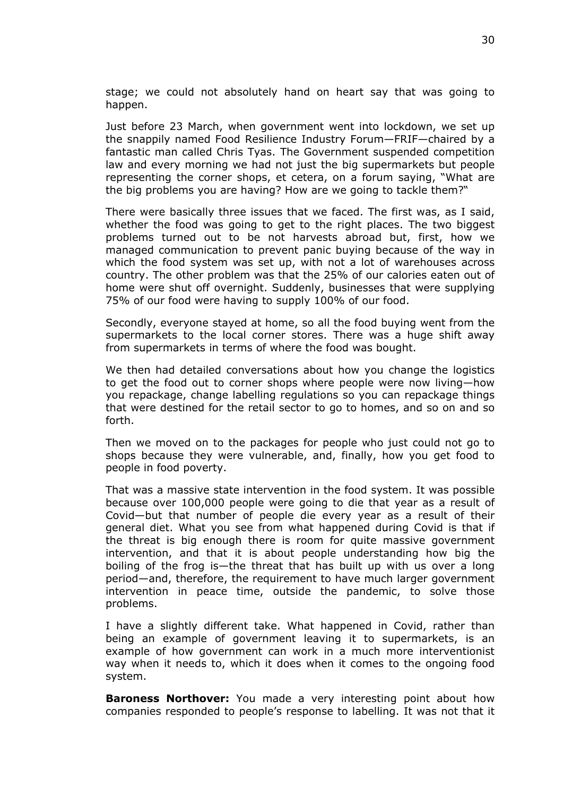stage; we could not absolutely hand on heart say that was going to happen.

Just before 23 March, when government went into lockdown, we set up the snappily named Food Resilience Industry Forum—FRIF—chaired by a fantastic man called Chris Tyas. The Government suspended competition law and every morning we had not just the big supermarkets but people representing the corner shops, et cetera, on a forum saying, "What are the big problems you are having? How are we going to tackle them?"

There were basically three issues that we faced. The first was, as I said, whether the food was going to get to the right places. The two biggest problems turned out to be not harvests abroad but, first, how we managed communication to prevent panic buying because of the way in which the food system was set up, with not a lot of warehouses across country. The other problem was that the 25% of our calories eaten out of home were shut off overnight. Suddenly, businesses that were supplying 75% of our food were having to supply 100% of our food.

Secondly, everyone stayed at home, so all the food buying went from the supermarkets to the local corner stores. There was a huge shift away from supermarkets in terms of where the food was bought.

We then had detailed conversations about how you change the logistics to get the food out to corner shops where people were now living—how you repackage, change labelling regulations so you can repackage things that were destined for the retail sector to go to homes, and so on and so forth.

Then we moved on to the packages for people who just could not go to shops because they were vulnerable, and, finally, how you get food to people in food poverty.

That was a massive state intervention in the food system. It was possible because over 100,000 people were going to die that year as a result of Covid—but that number of people die every year as a result of their general diet. What you see from what happened during Covid is that if the threat is big enough there is room for quite massive government intervention, and that it is about people understanding how big the boiling of the frog is—the threat that has built up with us over a long period—and, therefore, the requirement to have much larger government intervention in peace time, outside the pandemic, to solve those problems.

I have a slightly different take. What happened in Covid, rather than being an example of government leaving it to supermarkets, is an example of how government can work in a much more interventionist way when it needs to, which it does when it comes to the ongoing food system.

**Baroness Northover:** You made a very interesting point about how companies responded to people's response to labelling. It was not that it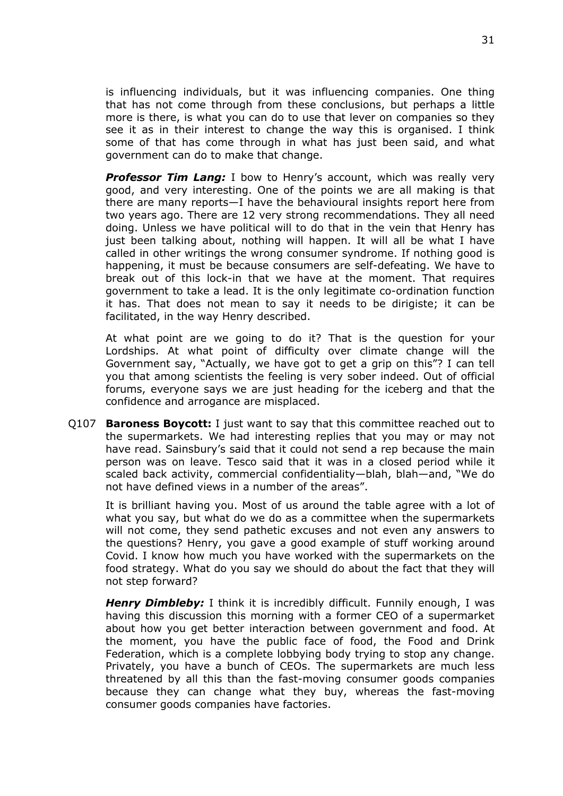is influencing individuals, but it was influencing companies. One thing that has not come through from these conclusions, but perhaps a little more is there, is what you can do to use that lever on companies so they see it as in their interest to change the way this is organised. I think some of that has come through in what has just been said, and what government can do to make that change.

*Professor Tim Lang:* I bow to Henry's account, which was really very good, and very interesting. One of the points we are all making is that there are many reports—I have the behavioural insights report here from two years ago. There are 12 very strong recommendations. They all need doing. Unless we have political will to do that in the vein that Henry has just been talking about, nothing will happen. It will all be what I have called in other writings the wrong consumer syndrome. If nothing good is happening, it must be because consumers are self-defeating. We have to break out of this lock-in that we have at the moment. That requires government to take a lead. It is the only legitimate co-ordination function it has. That does not mean to say it needs to be dirigiste; it can be facilitated, in the way Henry described.

At what point are we going to do it? That is the question for your Lordships. At what point of difficulty over climate change will the Government say, "Actually, we have got to get a grip on this"? I can tell you that among scientists the feeling is very sober indeed. Out of official forums, everyone says we are just heading for the iceberg and that the confidence and arrogance are misplaced.

Q107 **Baroness Boycott:** I just want to say that this committee reached out to the supermarkets. We had interesting replies that you may or may not have read. Sainsbury's said that it could not send a rep because the main person was on leave. Tesco said that it was in a closed period while it scaled back activity, commercial confidentiality—blah, blah—and, "We do not have defined views in a number of the areas".

It is brilliant having you. Most of us around the table agree with a lot of what you say, but what do we do as a committee when the supermarkets will not come, they send pathetic excuses and not even any answers to the questions? Henry, you gave a good example of stuff working around Covid. I know how much you have worked with the supermarkets on the food strategy. What do you say we should do about the fact that they will not step forward?

*Henry Dimbleby:* I think it is incredibly difficult. Funnily enough, I was having this discussion this morning with a former CEO of a supermarket about how you get better interaction between government and food. At the moment, you have the public face of food, the Food and Drink Federation, which is a complete lobbying body trying to stop any change. Privately, you have a bunch of CEOs. The supermarkets are much less threatened by all this than the fast-moving consumer goods companies because they can change what they buy, whereas the fast-moving consumer goods companies have factories.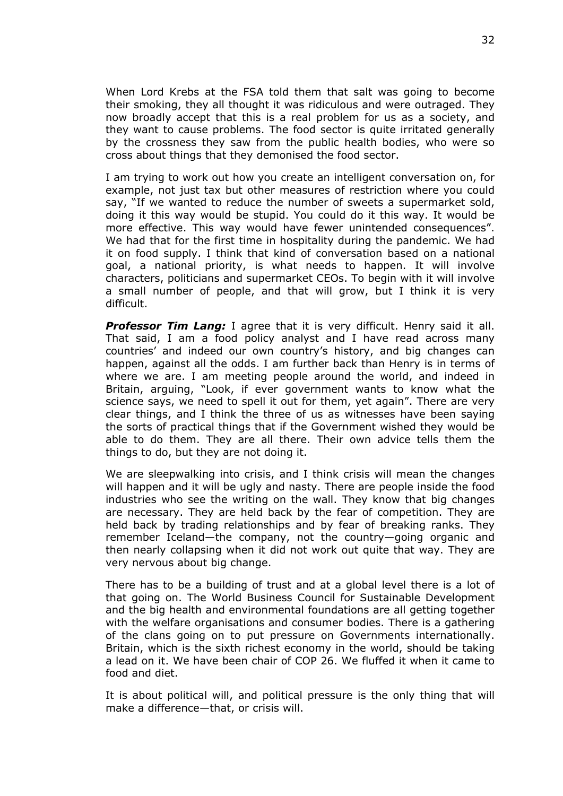When Lord Krebs at the FSA told them that salt was going to become their smoking, they all thought it was ridiculous and were outraged. They now broadly accept that this is a real problem for us as a society, and they want to cause problems. The food sector is quite irritated generally by the crossness they saw from the public health bodies, who were so cross about things that they demonised the food sector.

I am trying to work out how you create an intelligent conversation on, for example, not just tax but other measures of restriction where you could say, "If we wanted to reduce the number of sweets a supermarket sold, doing it this way would be stupid. You could do it this way. It would be more effective. This way would have fewer unintended consequences". We had that for the first time in hospitality during the pandemic. We had it on food supply. I think that kind of conversation based on a national goal, a national priority, is what needs to happen. It will involve characters, politicians and supermarket CEOs. To begin with it will involve a small number of people, and that will grow, but I think it is very difficult.

*Professor Tim Lang:* I agree that it is very difficult. Henry said it all. That said, I am a food policy analyst and I have read across many countries' and indeed our own country's history, and big changes can happen, against all the odds. I am further back than Henry is in terms of where we are. I am meeting people around the world, and indeed in Britain, arguing, "Look, if ever government wants to know what the science says, we need to spell it out for them, yet again". There are very clear things, and I think the three of us as witnesses have been saying the sorts of practical things that if the Government wished they would be able to do them. They are all there. Their own advice tells them the things to do, but they are not doing it.

We are sleepwalking into crisis, and I think crisis will mean the changes will happen and it will be ugly and nasty. There are people inside the food industries who see the writing on the wall. They know that big changes are necessary. They are held back by the fear of competition. They are held back by trading relationships and by fear of breaking ranks. They remember Iceland—the company, not the country—going organic and then nearly collapsing when it did not work out quite that way. They are very nervous about big change.

There has to be a building of trust and at a global level there is a lot of that going on. The World Business Council for Sustainable Development and the big health and environmental foundations are all getting together with the welfare organisations and consumer bodies. There is a gathering of the clans going on to put pressure on Governments internationally. Britain, which is the sixth richest economy in the world, should be taking a lead on it. We have been chair of COP 26. We fluffed it when it came to food and diet.

It is about political will, and political pressure is the only thing that will make a difference—that, or crisis will.